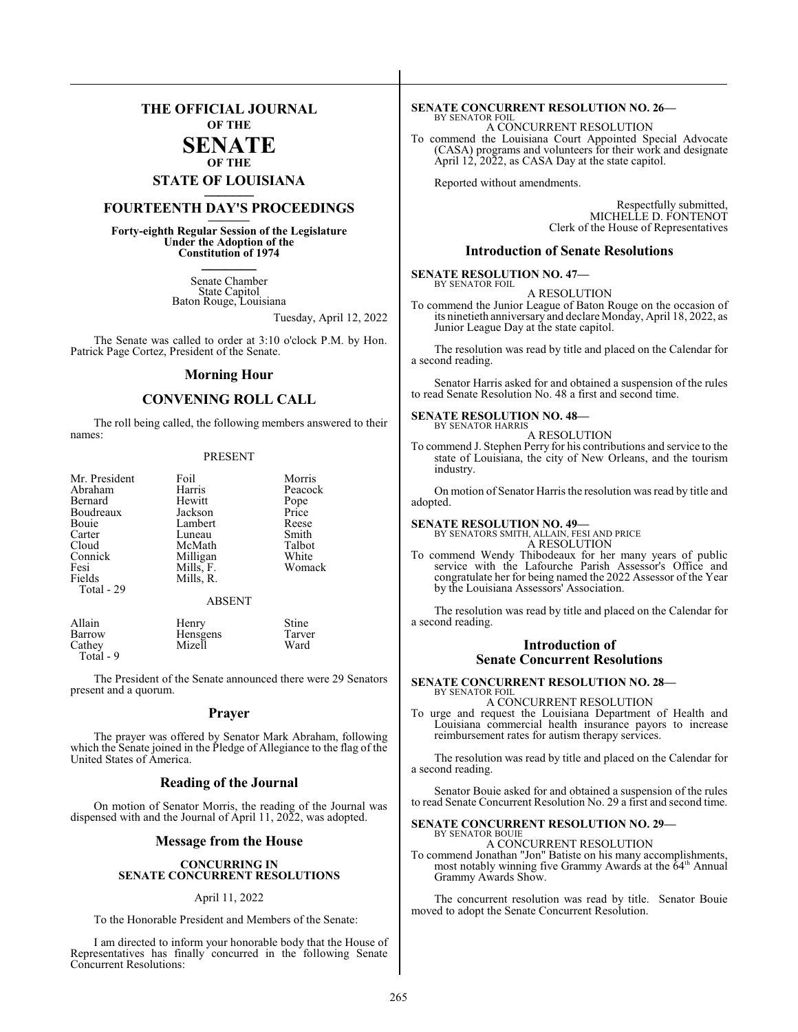### **THE OFFICIAL JOURNAL OF THE SENATE OF THE**

## **STATE OF LOUISIANA \_\_\_\_\_\_\_**

## **FOURTEENTH DAY'S PROCEEDINGS \_\_\_\_\_\_\_**

**Forty-eighth Regular Session of the Legislature Under the Adoption of the Constitution of 1974 \_\_\_\_\_\_\_**

> Senate Chamber State Capitol Baton Rouge, Louisiana

> > Tuesday, April 12, 2022

The Senate was called to order at 3:10 o'clock P.M. by Hon. Patrick Page Cortez, President of the Senate.

#### **Morning Hour**

#### **CONVENING ROLL CALL**

The roll being called, the following members answered to their names:

#### PRESENT

| Mr. President | Foil      | Morris        |
|---------------|-----------|---------------|
| Abraham       | Harris    | Peacock       |
| Bernard       | Hewitt    |               |
| Boudreaux     | Jackson   | Pope<br>Price |
| Bouie         | Lambert   | Reese         |
| Carter        | Luneau    | Smith         |
| Cloud         | McMath    | Talbot        |
| Connick       | Milligan  | White         |
| Fesi          | Mills, F. | Womack        |
| Fields        | Mills, R. |               |
| Total - 29    |           |               |
|               | ABSENT    |               |

| Allain    | Henry           | Stine  |
|-----------|-----------------|--------|
| Barrow    | <b>Hensgens</b> | Tarver |
| Cathey    | Mizell          | Ward   |
| Total - 9 |                 |        |

The President of the Senate announced there were 29 Senators present and a quorum.

#### **Prayer**

The prayer was offered by Senator Mark Abraham, following which the Senate joined in the Pledge of Allegiance to the flag of the United States of America.

#### **Reading of the Journal**

On motion of Senator Morris, the reading of the Journal was dispensed with and the Journal of April 11, 2022, was adopted.

#### **Message from the House**

#### **CONCURRING IN SENATE CONCURRENT RESOLUTIONS**

#### April 11, 2022

To the Honorable President and Members of the Senate:

I am directed to inform your honorable body that the House of Representatives has finally concurred in the following Senate Concurrent Resolutions:

#### **SENATE CONCURRENT RESOLUTION NO. 26—** BY SENATOR FOIL

A CONCURRENT RESOLUTION To commend the Louisiana Court Appointed Special Advocate (CASA) programs and volunteers for their work and designate April 12, 2022, as CASA Day at the state capitol.

Reported without amendments.

Respectfully submitted, MICHELLE D. FONTENOT Clerk of the House of Representatives

#### **Introduction of Senate Resolutions**

**SENATE RESOLUTION NO. 47—** BY SENATOR FOIL

A RESOLUTION

To commend the Junior League of Baton Rouge on the occasion of its ninetieth anniversary and declare Monday, April 18, 2022, as Junior League Day at the state capitol.

The resolution was read by title and placed on the Calendar for a second reading.

Senator Harris asked for and obtained a suspension of the rules to read Senate Resolution No. 48 a first and second time.

#### **SENATE RESOLUTION NO. 48—** BY SENATOR HARRIS

A RESOLUTION To commend J. Stephen Perry for his contributions and service to the state of Louisiana, the city of New Orleans, and the tourism industry.

On motion of Senator Harris the resolution was read by title and adopted.

#### **SENATE RESOLUTION NO. 49—**

BY SENATORS SMITH, ALLAIN, FESI AND PRICE A RESOLUTION

To commend Wendy Thibodeaux for her many years of public service with the Lafourche Parish Assessor's Office and congratulate her for being named the 2022 Assessor of the Year by the Louisiana Assessors' Association.

The resolution was read by title and placed on the Calendar for a second reading.

#### **Introduction of Senate Concurrent Resolutions**

**SENATE CONCURRENT RESOLUTION NO. 28—** BY SENATOR FOIL

A CONCURRENT RESOLUTION

To urge and request the Louisiana Department of Health and Louisiana commercial health insurance payors to increase reimbursement rates for autism therapy services.

The resolution was read by title and placed on the Calendar for a second reading.

Senator Bouie asked for and obtained a suspension of the rules to read Senate Concurrent Resolution No. 29 a first and second time.

#### **SENATE CONCURRENT RESOLUTION NO. 29—** BY SENATOR BOUIE

A CONCURRENT RESOLUTION

To commend Jonathan "Jon" Batiste on his many accomplishments, most notably winning five Grammy Awards at the 64<sup>th</sup> Annual Grammy Awards Show.

The concurrent resolution was read by title. Senator Bouie moved to adopt the Senate Concurrent Resolution.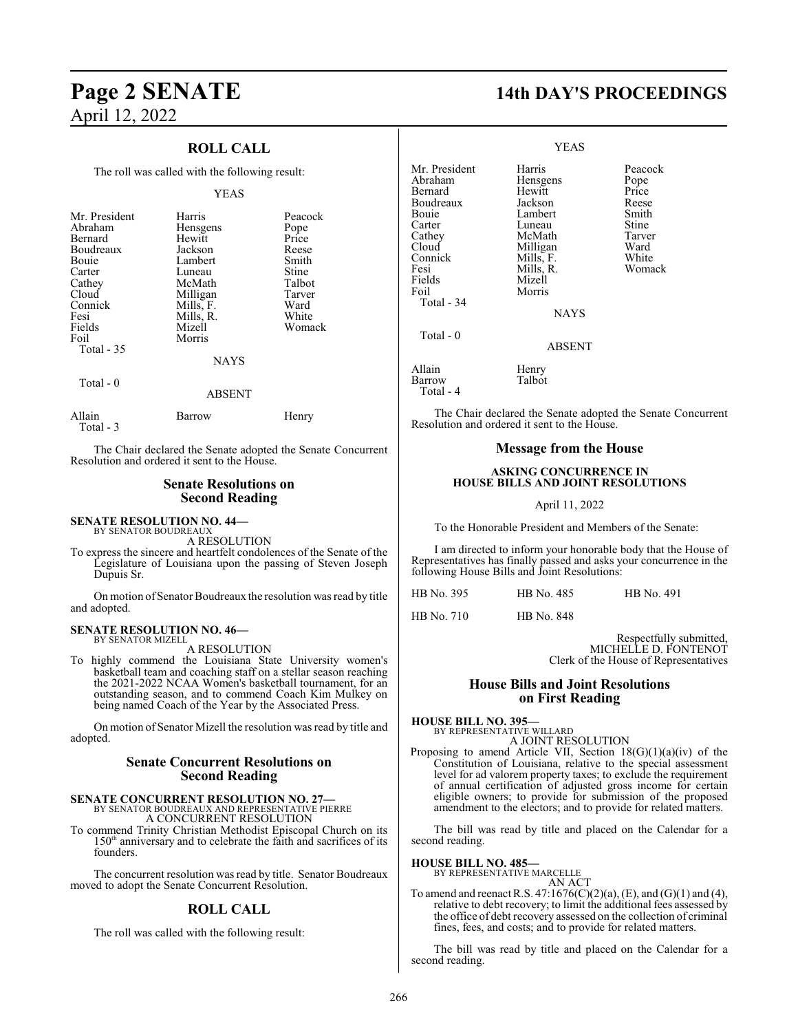#### **ROLL CALL**

The roll was called with the following result:

#### YEAS

| Mr. President | Harris      | Peacock |
|---------------|-------------|---------|
| Abraham       | Hensgens    | Pope    |
| Bernard       | Hewitt      | Price   |
| Boudreaux     | Jackson     | Reese   |
| Bouie         | Lambert     | Smith   |
| Carter        | Luneau      | Stine   |
| Cathey        | McMath      | Talbot  |
| Cloud         | Milligan    | Tarver  |
| Connick       | Mills, F.   | Ward    |
| Fesi          | Mills, R.   | White   |
| Fields        | Mizell      | Womack  |
| Foil          | Morris      |         |
| Total $-35$   |             |         |
|               | <b>NAYS</b> |         |
| Total - 0     |             |         |
|               | ABSENT      |         |

| Allain    | Barrow | Henry |
|-----------|--------|-------|
| Total - 3 |        |       |

The Chair declared the Senate adopted the Senate Concurrent Resolution and ordered it sent to the House.

#### **Senate Resolutions on Second Reading**

**SENATE RESOLUTION NO. 44—** BY SENATOR BOUDREAUX

A RESOLUTION

To express the sincere and heartfelt condolences of the Senate of the Legislature of Louisiana upon the passing of Steven Joseph Dupuis Sr.

On motion of Senator Boudreaux the resolution was read by title and adopted.

#### **SENATE RESOLUTION NO. 46—** BY SENATOR MIZELL

A RESOLUTION

To highly commend the Louisiana State University women's basketball team and coaching staff on a stellar season reaching the 2021-2022 NCAA Women's basketball tournament, for an outstanding season, and to commend Coach Kim Mulkey on being named Coach of the Year by the Associated Press.

On motion of Senator Mizell the resolution was read by title and adopted.

#### **Senate Concurrent Resolutions on Second Reading**

## **SENATE CONCURRENT RESOLUTION NO. 27—** BY SENATOR BOUDREAUX AND REPRESENTATIVE PIERRE

A CONCURRENT RESOLUTION

To commend Trinity Christian Methodist Episcopal Church on its 150<sup>th</sup> anniversary and to celebrate the faith and sacrifices of its founders.

The concurrent resolution was read by title. Senator Boudreaux moved to adopt the Senate Concurrent Resolution.

#### **ROLL CALL**

The roll was called with the following result:

## **Page 2 SENATE 14th DAY'S PROCEEDINGS**

|                                                                                                                                           | <b>YEAS</b>                                                                                                                              |                                                                                          |
|-------------------------------------------------------------------------------------------------------------------------------------------|------------------------------------------------------------------------------------------------------------------------------------------|------------------------------------------------------------------------------------------|
| Mr. President<br>Abraham<br>Bernard<br>Boudreaux<br>Bouie<br>Carter<br>Cathey<br>Cloud<br>Connick<br>Fesi<br>Fields<br>Foil<br>Total - 34 | Harris<br>Hensgens<br>Hewitt<br>Jackson<br>Lambert<br>Luneau<br>McMath<br>Milligan<br>Mills, F.<br>Mills, R.<br>Mizell<br>Morris<br>NAYS | Peacock<br>Pope<br>Price<br>Reese<br>Smith<br>Stine<br>Tarver<br>Ward<br>White<br>Womack |
| Total $-0$                                                                                                                                | ABSENT                                                                                                                                   |                                                                                          |
| Allain<br>Barrow<br>Total - 4                                                                                                             | Henry<br>Talbot                                                                                                                          |                                                                                          |

The Chair declared the Senate adopted the Senate Concurrent Resolution and ordered it sent to the House.

### **Message from the House**

#### **ASKING CONCURRENCE IN HOUSE BILLS AND JOINT RESOLUTIONS**

April 11, 2022

To the Honorable President and Members of the Senate:

I am directed to inform your honorable body that the House of Representatives has finally passed and asks your concurrence in the following House Bills and Joint Resolutions:

| HB No. 395 | HB No. 485 | HB No. 491 |
|------------|------------|------------|
|------------|------------|------------|

HB No. 710 HB No. 848

Respectfully submitted, MICHELLE D. FONTENOT Clerk of the House of Representatives

#### **House Bills and Joint Resolutions on First Reading**

**HOUSE BILL NO. 395—** BY REPRESENTATIVE WILLARD A JOINT RESOLUTION

Proposing to amend Article VII, Section  $18(G)(1)(a)(iv)$  of the Constitution of Louisiana, relative to the special assessment level for ad valorem property taxes; to exclude the requirement of annual certification of adjusted gross income for certain eligible owners; to provide for submission of the proposed amendment to the electors; and to provide for related matters.

The bill was read by title and placed on the Calendar for a second reading.

**HOUSE BILL NO. 485—**

BY REPRESENTATIVE MARCELLE

AN ACT To amend and reenact R.S. 47:1676(C)(2)(a), (E), and (G)(1) and (4), relative to debt recovery; to limit the additional fees assessed by the office of debt recovery assessed on the collection of criminal fines, fees, and costs; and to provide for related matters.

The bill was read by title and placed on the Calendar for a second reading.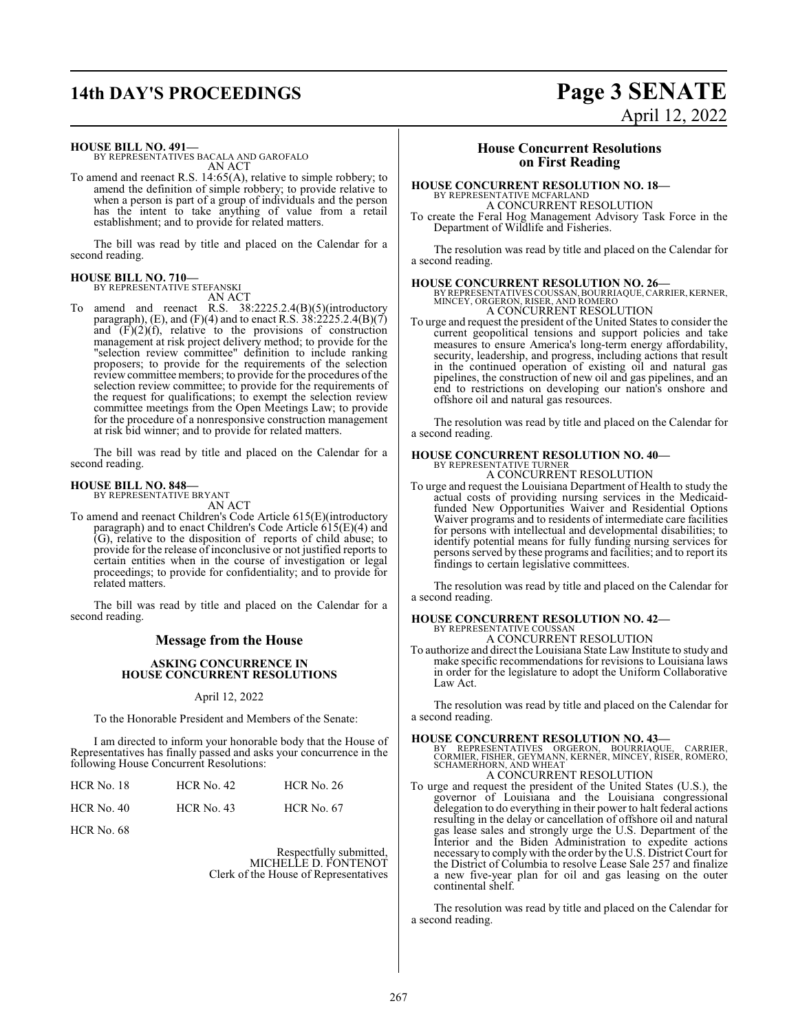## **14th DAY'S PROCEEDINGS Page 3 SENATE**

# April 12, 2022

**HOUSE BILL NO. 491—**

BY REPRESENTATIVES BACALA AND GAROFALO AN ACT

To amend and reenact R.S. 14:65(A), relative to simple robbery; to amend the definition of simple robbery; to provide relative to when a person is part of a group of individuals and the person has the intent to take anything of value from a retail establishment; and to provide for related matters.

The bill was read by title and placed on the Calendar for a second reading.

#### **HOUSE BILL NO. 710—** BY REPRESENTATIVE STEFANSKI

AN ACT

To amend and reenact R.S. 38:2225.2.4(B)(5)(introductory paragraph), (E), and (F)(4) and to enact R.S.  $38:2225.2.4(B)(7)$ and  $(F)(2)(f)$ , relative to the provisions of construction management at risk project delivery method; to provide for the "selection review committee" definition to include ranking proposers; to provide for the requirements of the selection review committee members; to provide for the procedures of the selection review committee; to provide for the requirements of the request for qualifications; to exempt the selection review committee meetings from the Open Meetings Law; to provide for the procedure of a nonresponsive construction management at risk bid winner; and to provide for related matters.

The bill was read by title and placed on the Calendar for a second reading.

#### **HOUSE BILL NO. 848—** BY REPRESENTATIVE BRYANT

AN ACT

To amend and reenact Children's Code Article 615(E)(introductory paragraph) and to enact Children's Code Article 615(E)(4) and (G), relative to the disposition of reports of child abuse; to provide for the release of inconclusive or not justified reports to certain entities when in the course of investigation or legal proceedings; to provide for confidentiality; and to provide for related matters.

The bill was read by title and placed on the Calendar for a second reading.

### **Message from the House**

#### **ASKING CONCURRENCE IN HOUSE CONCURRENT RESOLUTIONS**

#### April 12, 2022

To the Honorable President and Members of the Senate:

I am directed to inform your honorable body that the House of Representatives has finally passed and asks your concurrence in the following House Concurrent Resolutions:

| HCR No. 18   | $HCR$ No. 42      | <b>HCR No. 26</b> |
|--------------|-------------------|-------------------|
| $HCR$ No. 40 | <b>HCR</b> No. 43 | <b>HCR</b> No. 67 |

HCR No. 68

Respectfully submitted, MICHELLE D. FONTENOT Clerk of the House of Representatives

#### **House Concurrent Resolutions on First Reading**

#### **HOUSE CONCURRENT RESOLUTION NO. 18—**

BY REPRESENTATIVE MCFARLAND

A CONCURRENT RESOLUTION To create the Feral Hog Management Advisory Task Force in the Department of Wildlife and Fisheries.

The resolution was read by title and placed on the Calendar for a second reading.

**HOUSE CONCURRENT RESOLUTION NO. 26—**<br>BY REPRESENTATIVES COUSSAN, BOURRIAQUE, CARRIER, KERNER,<br>MINCEY, ORGERON, RISER, AND ROMERO A CONCURRENT RESOLUTION

To urge and request the president of the United States to consider the current geopolitical tensions and support policies and take measures to ensure America's long-term energy affordability, security, leadership, and progress, including actions that result in the continued operation of existing oil and natural gas pipelines, the construction of new oil and gas pipelines, and an end to restrictions on developing our nation's onshore and offshore oil and natural gas resources.

The resolution was read by title and placed on the Calendar for a second reading.

## **HOUSE CONCURRENT RESOLUTION NO. 40—** BY REPRESENTATIVE TURNER

A CONCURRENT RESOLUTION

To urge and request the Louisiana Department of Health to study the actual costs of providing nursing services in the Medicaidfunded New Opportunities Waiver and Residential Options Waiver programs and to residents of intermediate care facilities for persons with intellectual and developmental disabilities; to identify potential means for fully funding nursing services for persons served by these programs and facilities; and to report its findings to certain legislative committees.

The resolution was read by title and placed on the Calendar for a second reading.

#### **HOUSE CONCURRENT RESOLUTION NO. 42—** BY REPRESENTATIVE COUSSAN A CONCURRENT RESOLUTION

To authorize and direct the Louisiana State Law Institute to study and make specific recommendations for revisions to Louisiana laws in order for the legislature to adopt the Uniform Collaborative Law Act.

The resolution was read by title and placed on the Calendar for a second reading.

#### **HOUSE CONCURRENT RESOLUTION NO. 43—**

BY REPRESENTATIVES ORGERON, BOURRIAQUE, CARRIER,<br>CORMIER,FISHER,GEYMANN,KERNER,MINCEY,RISER,ROMERO,<br>SCHAMERHORN,ANDWHEAT A CONCURRENT RESOLUTION

To urge and request the president of the United States (U.S.), the governor of Louisiana and the Louisiana congressional delegation to do everything in their power to halt federal actions resulting in the delay or cancellation of offshore oil and natural gas lease sales and strongly urge the U.S. Department of the Interior and the Biden Administration to expedite actions necessary to comply with the order by the U.S. District Court for the District of Columbia to resolve Lease Sale 257 and finalize a new five-year plan for oil and gas leasing on the outer continental shelf.

The resolution was read by title and placed on the Calendar for a second reading.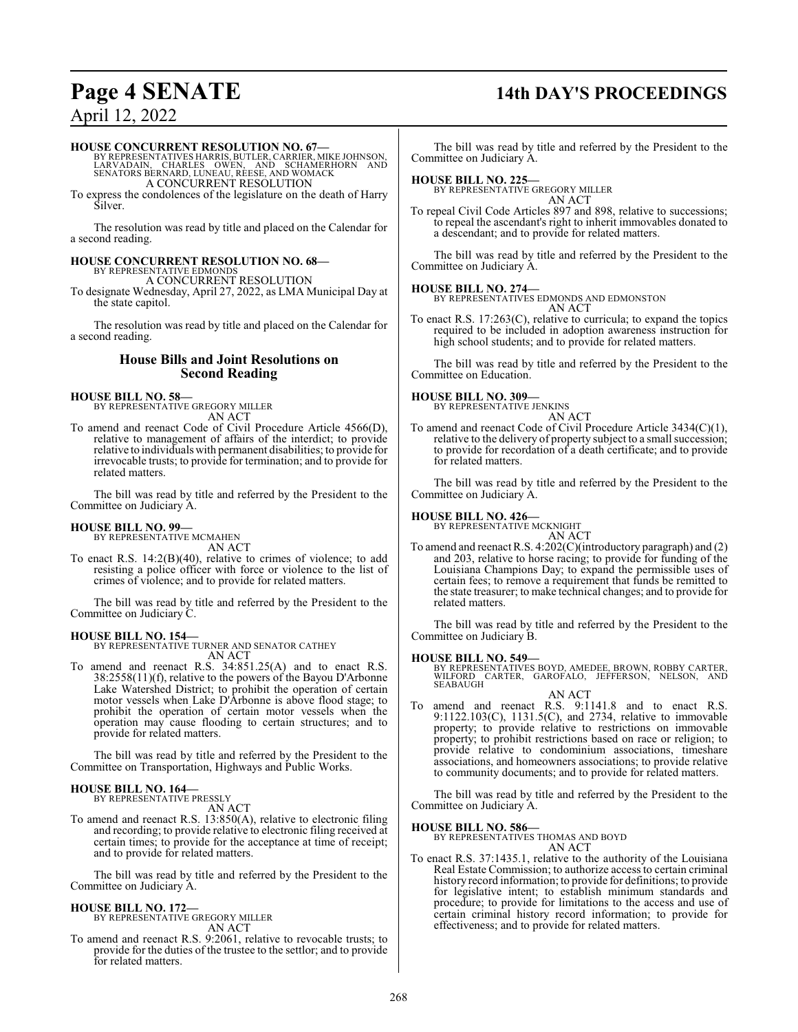## **Page 4 SENATE 14th DAY'S PROCEEDINGS**

### April 12, 2022

#### **HOUSE CONCURRENT RESOLUTION NO. 67—**

BY REPRESENTATIVES HARRIS, BUTLER, CARRIER, MIKE JOHNSON,<br>LARVADAIN, CHARLES OWEN, AND SCHAMERHORN AND<br>SENATORS BERNARD, LUNEAU, REESE, AND WOMACK A CONCURRENT RESOLUTION

To express the condolences of the legislature on the death of Harry Silver.

The resolution was read by title and placed on the Calendar for a second reading.

#### **HOUSE CONCURRENT RESOLUTION NO. 68—**

BY REPRESENTATIVE EDMONDS A CONCURRENT RESOLUTION

To designate Wednesday, April 27, 2022, as LMA Municipal Day at the state capitol.

The resolution was read by title and placed on the Calendar for a second reading.

#### **House Bills and Joint Resolutions on Second Reading**

#### **HOUSE BILL NO. 58—**

BY REPRESENTATIVE GREGORY MILLER AN ACT

To amend and reenact Code of Civil Procedure Article 4566(D), relative to management of affairs of the interdict; to provide relative to individuals with permanent disabilities; to provide for irrevocable trusts; to provide for termination; and to provide for related matters.

The bill was read by title and referred by the President to the Committee on Judiciary A.

#### **HOUSE BILL NO. 99—**

BY REPRESENTATIVE MCMAHEN AN ACT

To enact R.S. 14:2(B)(40), relative to crimes of violence; to add resisting a police officer with force or violence to the list of crimes of violence; and to provide for related matters.

The bill was read by title and referred by the President to the Committee on Judiciary C.

#### **HOUSE BILL NO. 154—**

BY REPRESENTATIVE TURNER AND SENATOR CATHEY AN ACT

To amend and reenact R.S. 34:851.25(A) and to enact R.S. 38:2558(11)(f), relative to the powers of the Bayou D'Arbonne Lake Watershed District; to prohibit the operation of certain motor vessels when Lake D'Arbonne is above flood stage; to prohibit the operation of certain motor vessels when the operation may cause flooding to certain structures; and to provide for related matters.

The bill was read by title and referred by the President to the Committee on Transportation, Highways and Public Works.

## **HOUSE BILL NO. 164—** BY REPRESENTATIVE PRESSLY

AN ACT

To amend and reenact R.S. 13:850(A), relative to electronic filing and recording; to provide relative to electronic filing received at certain times; to provide for the acceptance at time of receipt; and to provide for related matters.

The bill was read by title and referred by the President to the Committee on Judiciary A.

#### **HOUSE BILL NO. 172—**

BY REPRESENTATIVE GREGORY MILLER AN ACT

To amend and reenact R.S. 9:2061, relative to revocable trusts; to provide for the duties of the trustee to the settlor; and to provide for related matters.

The bill was read by title and referred by the President to the Committee on Judiciary A.

#### **HOUSE BILL NO. 225—**

BY REPRESENTATIVE GREGORY MILLER AN ACT

To repeal Civil Code Articles 897 and 898, relative to successions; to repeal the ascendant's right to inherit immovables donated to a descendant; and to provide for related matters.

The bill was read by title and referred by the President to the Committee on Judiciary A.

#### **HOUSE BILL NO. 274—**

BY REPRESENTATIVES EDMONDS AND EDMONSTON AN ACT

To enact R.S. 17:263(C), relative to curricula; to expand the topics required to be included in adoption awareness instruction for high school students; and to provide for related matters.

The bill was read by title and referred by the President to the Committee on Education.

## **HOUSE BILL NO. 309—** BY REPRESENTATIVE JENKINS

AN ACT

To amend and reenact Code of Civil Procedure Article 3434(C)(1), relative to the delivery of property subject to a small succession; to provide for recordation of a death certificate; and to provide for related matters.

The bill was read by title and referred by the President to the Committee on Judiciary A.

#### **HOUSE BILL NO. 426—**

BY REPRESENTATIVE MCKNIGHT AN ACT

To amend and reenact R.S. 4:202(C)(introductory paragraph) and (2) and 203, relative to horse racing; to provide for funding of the Louisiana Champions Day; to expand the permissible uses of certain fees; to remove a requirement that funds be remitted to the state treasurer; to make technical changes; and to provide for related matters.

The bill was read by title and referred by the President to the Committee on Judiciary B.

#### **HOUSE BILL NO. 549—**

BY REPRESENTATIVES BOYD, AMEDEE, BROWN, ROBBY CARTER,<br>WILFORD CARTER, GAROFALO, JEFFERSON, NELSON, AND<br>SEABAUGH

AN ACT To amend and reenact R.S. 9:1141.8 and to enact R.S. 9:1122.103(C), 1131.5(C), and 2734, relative to immovable property; to provide relative to restrictions on immovable property; to prohibit restrictions based on race or religion; to provide relative to condominium associations, timeshare associations, and homeowners associations; to provide relative to community documents; and to provide for related matters.

The bill was read by title and referred by the President to the Committee on Judiciary A.

#### **HOUSE BILL NO. 586—**

BY REPRESENTATIVES THOMAS AND BOYD AN ACT

To enact R.S. 37:1435.1, relative to the authority of the Louisiana Real Estate Commission; to authorize access to certain criminal history record information; to provide for definitions; to provide for legislative intent; to establish minimum standards and procedure; to provide for limitations to the access and use of certain criminal history record information; to provide for effectiveness; and to provide for related matters.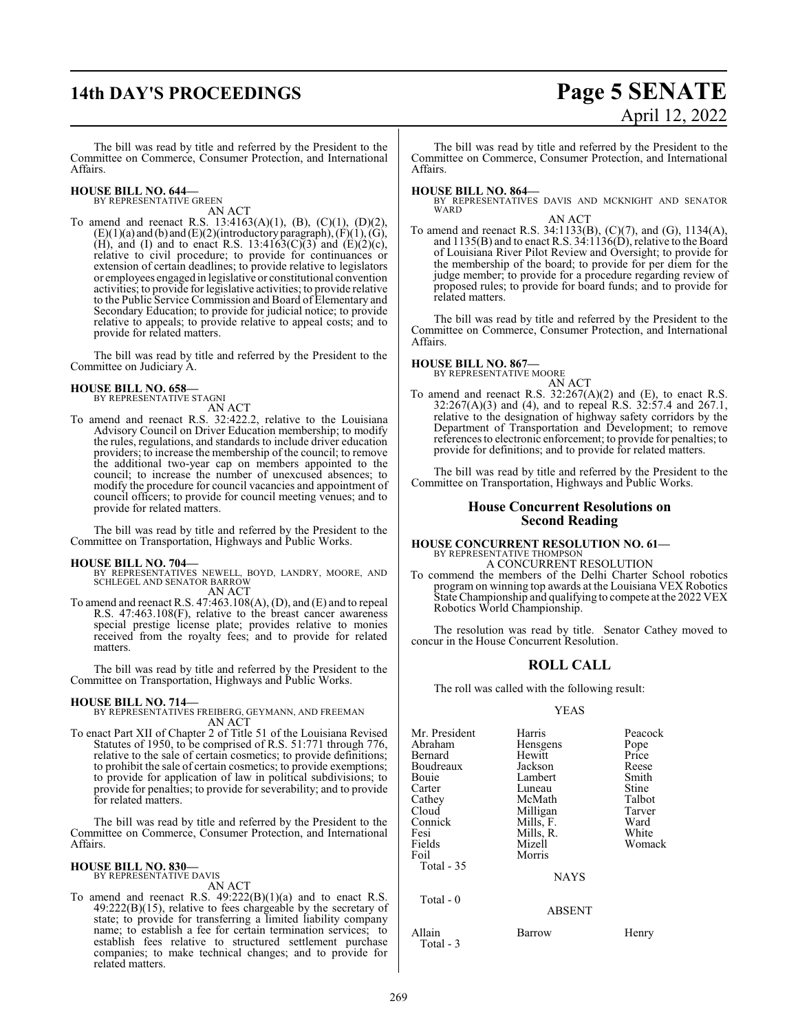## **14th DAY'S PROCEEDINGS Page 5 SENATE**

# April 12, 2022

The bill was read by title and referred by the President to the Committee on Commerce, Consumer Protection, and International Affairs.

#### **HOUSE BILL NO. 644—** BY REPRESENTATIVE GREEN

AN ACT

To amend and reenact R.S. 13:4163(A)(1), (B), (C)(1), (D)(2),  $(E)(1)(a)$  and  $(b)$  and  $(E)(2)($ introductory paragraph),  $(F)(1)$ ,  $(G)$ , (H), and (I) and to enact R.S. 13:4163(C)(3) and (E)(2)(c), relative to civil procedure; to provide for continuances or extension of certain deadlines; to provide relative to legislators or employees engaged in legislative or constitutional convention activities; to provide for legislative activities; to provide relative to the Public Service Commission and Board of Elementary and Secondary Education; to provide for judicial notice; to provide relative to appeals; to provide relative to appeal costs; and to provide for related matters.

The bill was read by title and referred by the President to the Committee on Judiciary A.

#### **HOUSE BILL NO. 658—**

BY REPRESENTATIVE STAGNI AN ACT

To amend and reenact R.S. 32:422.2, relative to the Louisiana Advisory Council on Driver Education membership; to modify the rules, regulations, and standards to include driver education providers; to increase the membership of the council; to remove the additional two-year cap on members appointed to the council; to increase the number of unexcused absences; to modify the procedure for council vacancies and appointment of council officers; to provide for council meeting venues; and to provide for related matters.

The bill was read by title and referred by the President to the Committee on Transportation, Highways and Public Works.

#### **HOUSE BILL NO. 704—**

BY REPRESENTATIVES NEWELL, BOYD, LANDRY, MOORE, AND SCHLEGEL AND SENATOR BARROW AN ACT

To amend and reenact R.S. 47:463.108(A), (D), and (E) and to repeal R.S. 47:463.108(F), relative to the breast cancer awareness special prestige license plate; provides relative to monies received from the royalty fees; and to provide for related matters.

The bill was read by title and referred by the President to the Committee on Transportation, Highways and Public Works.

**HOUSE BILL NO. 714—** BY REPRESENTATIVES FREIBERG, GEYMANN, AND FREEMAN AN ACT

To enact Part XII of Chapter 2 of Title 51 of the Louisiana Revised Statutes of 1950, to be comprised of R.S. 51:771 through 776, relative to the sale of certain cosmetics; to provide definitions; to prohibit the sale of certain cosmetics; to provide exemptions; to provide for application of law in political subdivisions; to provide for penalties; to provide for severability; and to provide for related matters.

The bill was read by title and referred by the President to the Committee on Commerce, Consumer Protection, and International Affairs.

#### **HOUSE BILL NO. 830—** BY REPRESENTATIVE DAVIS

AN ACT

To amend and reenact R.S.  $49:222(B)(1)(a)$  and to enact R.S. 49:222(B)(15), relative to fees chargeable by the secretary of state; to provide for transferring a limited liability company name; to establish a fee for certain termination services; to establish fees relative to structured settlement purchase companies; to make technical changes; and to provide for related matters.

The bill was read by title and referred by the President to the Committee on Commerce, Consumer Protection, and International Affairs.

**HOUSE BILL NO. 864—** BY REPRESENTATIVES DAVIS AND MCKNIGHT AND SENATOR WARD

AN ACT To amend and reenact R.S. 34:1133(B), (C)(7), and (G), 1134(A), and 1135(B) and to enact R.S. 34:1136(D), relative to the Board of Louisiana River Pilot Review and Oversight; to provide for the membership of the board; to provide for per diem for the judge member; to provide for a procedure regarding review of proposed rules; to provide for board funds; and to provide for related matters.

The bill was read by title and referred by the President to the Committee on Commerce, Consumer Protection, and International Affairs.

#### **HOUSE BILL NO. 867—**

BY REPRESENTATIVE MOORE AN ACT

To amend and reenact R.S.  $32:267(A)(2)$  and (E), to enact R.S. 32:267(A)(3) and (4), and to repeal R.S. 32:57.4 and 267.1, relative to the designation of highway safety corridors by the Department of Transportation and Development; to remove references to electronic enforcement; to provide for penalties; to provide for definitions; and to provide for related matters.

The bill was read by title and referred by the President to the Committee on Transportation, Highways and Public Works.

#### **House Concurrent Resolutions on Second Reading**

#### **HOUSE CONCURRENT RESOLUTION NO. 61—** BY REPRESENTATIVE THOMPSO A CONCURRENT RESOLUTION

To commend the members of the Delhi Charter School robotics program on winning top awards at the Louisiana VEX Robotics State Championship and qualifying to compete at the 2022 VEX Robotics World Championship.

The resolution was read by title. Senator Cathey moved to concur in the House Concurrent Resolution.

#### **ROLL CALL**

The roll was called with the following result:

#### YEAS

| Mr. President | Harris        | Peacock |
|---------------|---------------|---------|
| Abraham       | Hensgens      | Pope    |
| Bernard       | Hewitt        | Price   |
| Boudreaux     | Jackson       | Reese   |
| Bouie         | Lambert       | Smith   |
| Carter        | Luneau        | Stine   |
| Cathey        | McMath        | Talbot  |
| Cloud         | Milligan      | Tarver  |
| Connick       | Mills, F.     | Ward    |
| Fesi          | Mills, R.     | White   |
| Fields        | Mizell        | Womack  |
| Foil          | Morris        |         |
| Total $-35$   |               |         |
|               | <b>NAYS</b>   |         |
| Total - 0     |               |         |
|               | <b>ABSENT</b> |         |
| Allain        | Barrow        | Henry   |

Total - 3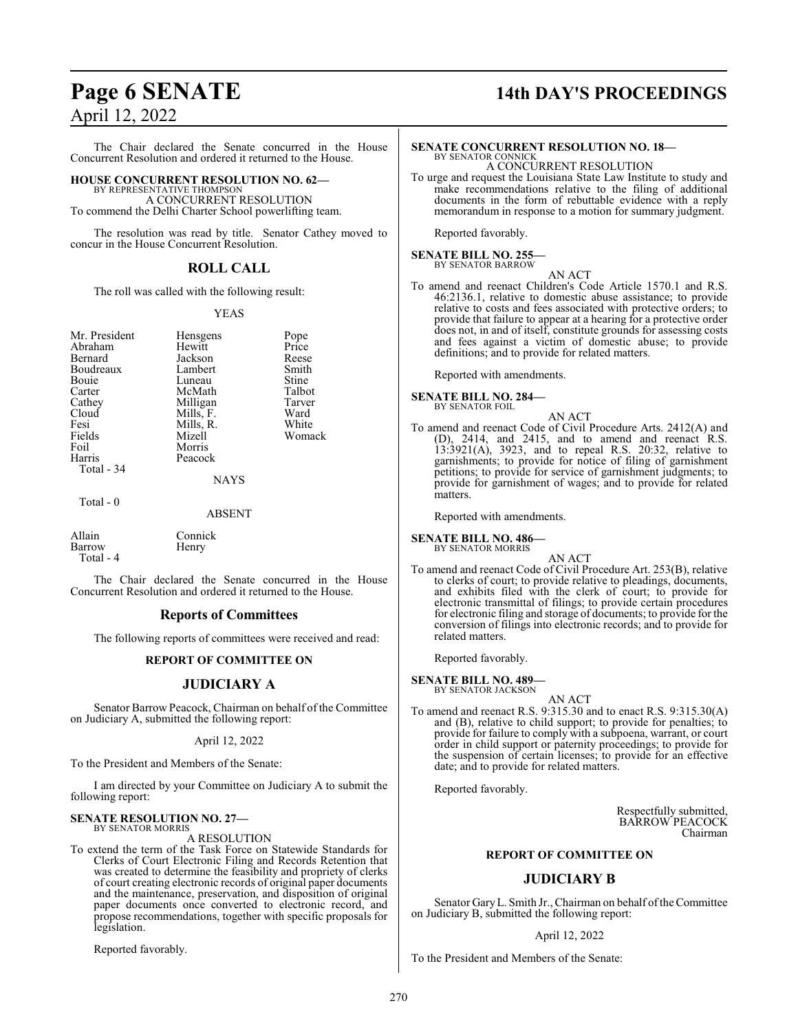#### The Chair declared the Senate concurred in the House Concurrent Resolution and ordered it returned to the House.

### **HOUSE CONCURRENT RESOLUTION NO. 62—**

BY REPRESENTATIVE THOMPSON A CONCURRENT RESOLUTION To commend the Delhi Charter School powerlifting team.

The resolution was read by title. Senator Cathey moved to concur in the House Concurrent Resolution.

#### **ROLL CALL**

The roll was called with the following result:

#### YEAS

| Mr. President<br>Abraham | <b>Hensgens</b><br>Hewitt | Pope<br>Price |
|--------------------------|---------------------------|---------------|
|                          |                           |               |
| Bernard                  | Jackson                   | Reese         |
| Boudreaux                | Lambert                   | Smith         |
| Bouie                    | Luneau                    | Stine         |
| Carter                   | McMath                    | Talbot        |
| Cathey                   | Milligan                  | Tarver        |
| Cloud                    | Mills, F.                 | Ward          |
| Fesi                     | Mills, R.                 | White         |
| Fields                   | Mizell                    | Womack        |
| Foil                     | Morris                    |               |
| Harris                   | Peacock                   |               |
| Total - 34               |                           |               |
|                          | <b>NAYS</b>               |               |
| Total - 0                |                           |               |
|                          | ABSENT                    |               |

Allain Connick<br>Barrow Henry **Barrow** Total - 4

The Chair declared the Senate concurred in the House Concurrent Resolution and ordered it returned to the House.

#### **Reports of Committees**

The following reports of committees were received and read:

#### **REPORT OF COMMITTEE ON**

#### **JUDICIARY A**

Senator Barrow Peacock, Chairman on behalf of the Committee on Judiciary A, submitted the following report:

#### April 12, 2022

To the President and Members of the Senate:

I am directed by your Committee on Judiciary A to submit the following report:

#### **SENATE RESOLUTION NO. 27—** BY SENATOR MORRIS

A RESOLUTION

To extend the term of the Task Force on Statewide Standards for Clerks of Court Electronic Filing and Records Retention that was created to determine the feasibility and propriety of clerks of court creating electronic records of original paper documents and the maintenance, preservation, and disposition of original paper documents once converted to electronic record, and propose recommendations, together with specific proposals for legislation.

Reported favorably.

## **Page 6 SENATE 14th DAY'S PROCEEDINGS**

### **SENATE CONCURRENT RESOLUTION NO. 18—**

BY SENATOR CONNICK A CONCURRENT RESOLUTION

To urge and request the Louisiana State Law Institute to study and make recommendations relative to the filing of additional documents in the form of rebuttable evidence with a reply memorandum in response to a motion for summary judgment.

Reported favorably.

#### **SENATE BILL NO. 255—** BY SENATOR BARROW

AN ACT

To amend and reenact Children's Code Article 1570.1 and R.S. 46:2136.1, relative to domestic abuse assistance; to provide relative to costs and fees associated with protective orders; to provide that failure to appear at a hearing for a protective order does not, in and of itself, constitute grounds for assessing costs and fees against a victim of domestic abuse; to provide definitions; and to provide for related matters.

Reported with amendments.

**SENATE BILL NO. 284—** BY SENATOR FOIL

- 
- To amend and reenact Code of Civil Procedure Arts. 2412(A) and (D), 2414, and 2415, and to amend and reenact R.S. 13:3921(A), 3923, and to repeal R.S. 20:32, relative to garnishments; to provide for notice of filing of garnishment petitions; to provide for service of garnishment judgments; to provide for garnishment of wages; and to provide for related matters.

AN ACT

Reported with amendments.

## **SENATE BILL NO. 486—** BY SENATOR MORRIS

AN ACT

To amend and reenact Code of Civil Procedure Art. 253(B), relative to clerks of court; to provide relative to pleadings, documents, and exhibits filed with the clerk of court; to provide for electronic transmittal of filings; to provide certain procedures for electronic filing and storage of documents; to provide for the conversion of filings into electronic records; and to provide for related matters.

Reported favorably.

#### **SENATE BILL NO. 489—** BY SENATOR JACKSON

AN ACT

To amend and reenact R.S. 9:315.30 and to enact R.S. 9:315.30(A) and (B), relative to child support; to provide for penalties; to provide for failure to comply with a subpoena, warrant, or court order in child support or paternity proceedings; to provide for the suspension of certain licenses; to provide for an effective date; and to provide for related matters.

Reported favorably.

Respectfully submitted, BARROW PEACOCK Chairman

#### **REPORT OF COMMITTEE ON**

#### **JUDICIARY B**

Senator GaryL. Smith Jr., Chairman on behalf ofthe Committee on Judiciary B, submitted the following report:

#### April 12, 2022

To the President and Members of the Senate: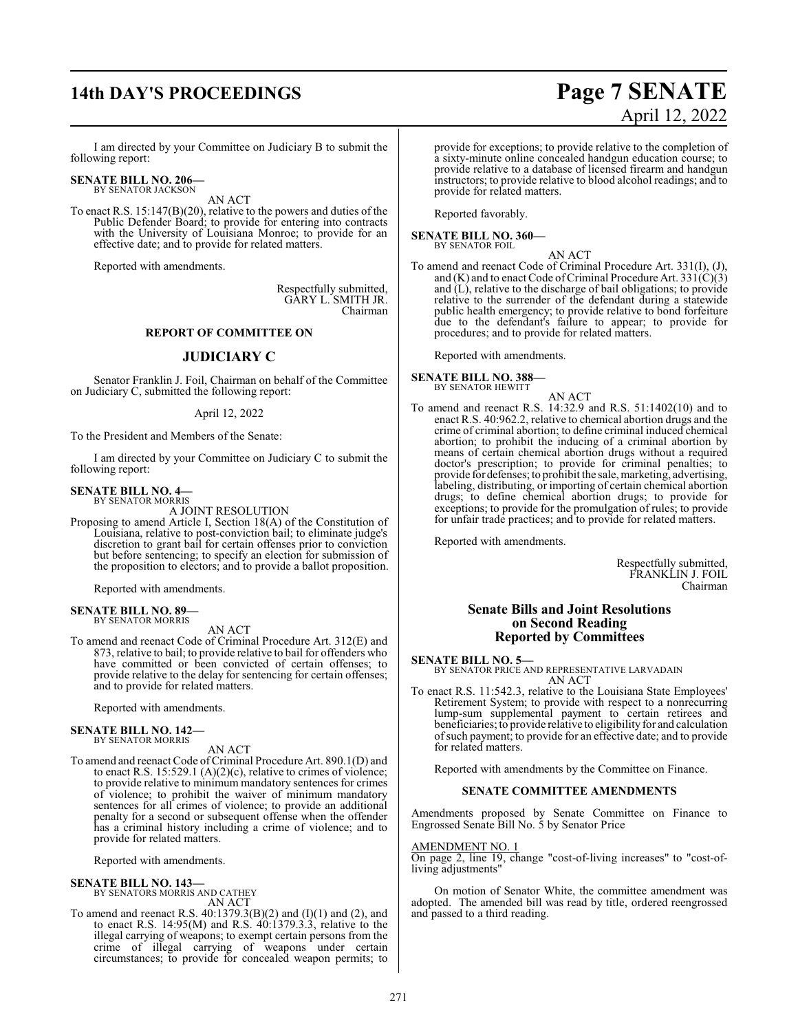## **14th DAY'S PROCEEDINGS Page 7 SENATE**

# April 12, 2022

I am directed by your Committee on Judiciary B to submit the following report:

#### **SENATE BILL NO. 206—** BY SENATOR JACKSON

AN ACT

To enact R.S. 15:147(B)(20), relative to the powers and duties of the Public Defender Board; to provide for entering into contracts with the University of Louisiana Monroe; to provide for an effective date; and to provide for related matters.

Reported with amendments.

Respectfully submitted, GARY L. SMITH JR. Chairman

#### **REPORT OF COMMITTEE ON**

#### **JUDICIARY C**

Senator Franklin J. Foil, Chairman on behalf of the Committee on Judiciary C, submitted the following report:

#### April 12, 2022

To the President and Members of the Senate:

I am directed by your Committee on Judiciary C to submit the following report:

#### **SENATE BILL NO. 4—** BY SENATOR MORRIS

A JOINT RESOLUTION

Proposing to amend Article I, Section 18(A) of the Constitution of Louisiana, relative to post-conviction bail; to eliminate judge's discretion to grant bail for certain offenses prior to conviction but before sentencing; to specify an election for submission of the proposition to electors; and to provide a ballot proposition.

Reported with amendments.

#### **SENATE BILL NO. 89—** BY SENATOR MORRIS

AN ACT

To amend and reenact Code of Criminal Procedure Art. 312(E) and 873, relative to bail; to provide relative to bail for offenders who have committed or been convicted of certain offenses; to provide relative to the delay for sentencing for certain offenses; and to provide for related matters.

Reported with amendments.

## **SENATE BILL NO. 142—** BY SENATOR MORRIS

#### AN ACT

To amend and reenact Code of Criminal Procedure Art. 890.1(D) and to enact R.S. 15:529.1 (A)(2)(c), relative to crimes of violence; to provide relative to minimum mandatory sentences for crimes of violence; to prohibit the waiver of minimum mandatory sentences for all crimes of violence; to provide an additional penalty for a second or subsequent offense when the offender has a criminal history including a crime of violence; and to provide for related matters.

Reported with amendments.

#### **SENATE BILL NO. 143—**

BY SENATORS MORRIS AND CATHEY AN ACT

To amend and reenact R.S. 40:1379.3(B)(2) and (I)(1) and (2), and to enact R.S.  $14:95(M)$  and R.S.  $40:1379.3.3$ , relative to the illegal carrying of weapons; to exempt certain persons from the crime of illegal carrying of weapons under certain circumstances; to provide for concealed weapon permits; to

provide for exceptions; to provide relative to the completion of a sixty-minute online concealed handgun education course; to provide relative to a database of licensed firearm and handgun instructors; to provide relative to blood alcohol readings; and to provide for related matters.

Reported favorably.

**SENATE BILL NO. 360—** BY SENATOR FOIL

AN ACT

To amend and reenact Code of Criminal Procedure Art. 331(I), (J), and (K) and to enact Code of Criminal Procedure Art. 33 $\hat{I}(C)(3)$ and  $(L)$ , relative to the discharge of bail obligations; to provide relative to the surrender of the defendant during a statewide public health emergency; to provide relative to bond forfeiture due to the defendant's failure to appear; to provide for procedures; and to provide for related matters.

Reported with amendments.

**SENATE BILL NO. 388—** BY SENATOR HEWITT

- AN ACT
- To amend and reenact R.S. 14:32.9 and R.S. 51:1402(10) and to enact R.S. 40:962.2, relative to chemical abortion drugs and the crime of criminal abortion; to define criminal induced chemical abortion; to prohibit the inducing of a criminal abortion by means of certain chemical abortion drugs without a required doctor's prescription; to provide for criminal penalties; to provide for defenses; to prohibit the sale, marketing, advertising, labeling, distributing, or importing of certain chemical abortion drugs; to define chemical abortion drugs; to provide for exceptions; to provide for the promulgation of rules; to provide for unfair trade practices; and to provide for related matters.

Reported with amendments.

Respectfully submitted, FRANKLIN J. FOIL Chairman

#### **Senate Bills and Joint Resolutions on Second Reading Reported by Committees**

#### **SENATE BILL NO. 5—**

BY SENATOR PRICE AND REPRESENTATIVE LARVADAIN AN ACT

To enact R.S. 11:542.3, relative to the Louisiana State Employees' Retirement System; to provide with respect to a nonrecurring lump-sum supplemental payment to certain retirees and beneficiaries; to provide relative to eligibility for and calculation ofsuch payment; to provide for an effective date; and to provide for related matters.

Reported with amendments by the Committee on Finance.

#### **SENATE COMMITTEE AMENDMENTS**

Amendments proposed by Senate Committee on Finance to Engrossed Senate Bill No. 5 by Senator Price

### AMENDMENT NO. 1

On page 2, line 19, change "cost-of-living increases" to "cost-ofliving adjustments"

On motion of Senator White, the committee amendment was adopted. The amended bill was read by title, ordered reengrossed and passed to a third reading.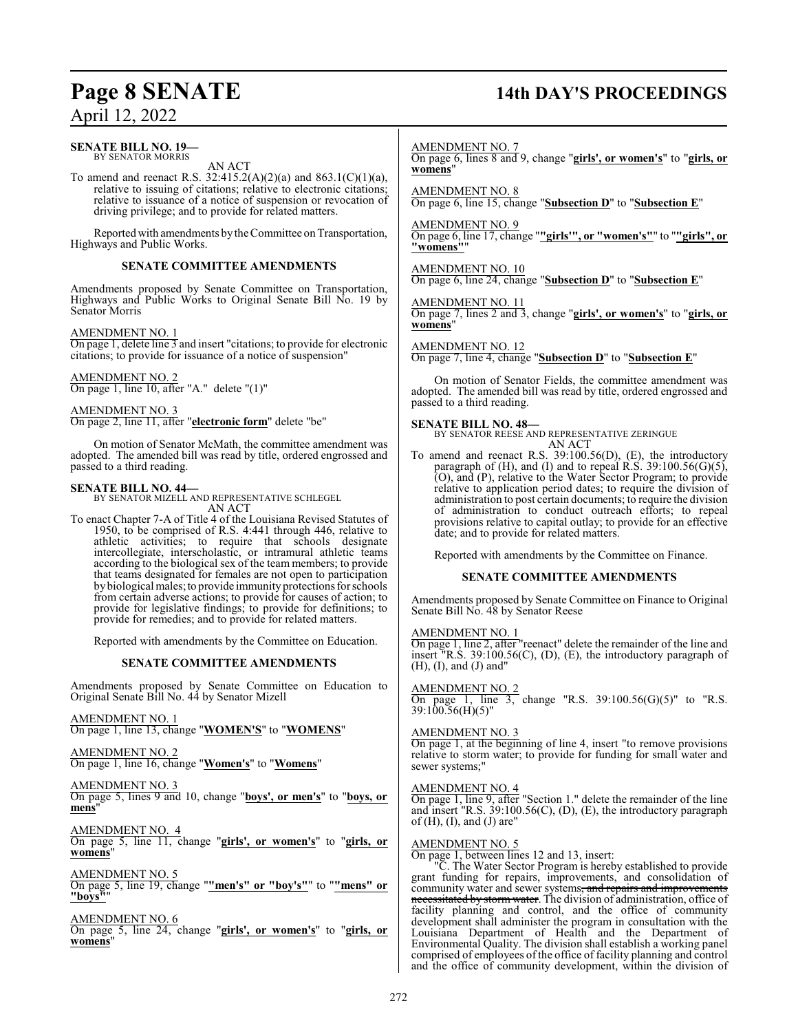#### **SENATE BILL NO. 19—** BY SENATOR MORRIS

AN ACT

To amend and reenact R.S. 32:415.2(A)(2)(a) and 863.1(C)(1)(a), relative to issuing of citations; relative to electronic citations; relative to issuance of a notice of suspension or revocation of driving privilege; and to provide for related matters.

Reported with amendments by the Committee on Transportation, Highways and Public Works.

#### **SENATE COMMITTEE AMENDMENTS**

Amendments proposed by Senate Committee on Transportation, Highways and Public Works to Original Senate Bill No. 19 by Senator Morris

#### AMENDMENT NO. 1

On page 1, delete line 3 and insert "citations; to provide for electronic citations; to provide for issuance of a notice of suspension"

AMENDMENT NO. 2 On page 1, line 10, after "A." delete "(1)"

AMENDMENT NO. 3

On page 2, line 11, after "**electronic form**" delete "be"

On motion of Senator McMath, the committee amendment was adopted. The amended bill was read by title, ordered engrossed and passed to a third reading.

#### **SENATE BILL NO. 44—**

BY SENATOR MIZELL AND REPRESENTATIVE SCHLEGEL AN ACT

To enact Chapter 7-A of Title 4 of the Louisiana Revised Statutes of 1950, to be comprised of R.S. 4:441 through 446, relative to athletic activities; to require that schools designate intercollegiate, interscholastic, or intramural athletic teams according to the biological sex of the team members; to provide that teams designated for females are not open to participation bybiological males;to provide immunity protections for schools from certain adverse actions; to provide for causes of action; to provide for legislative findings; to provide for definitions; to provide for remedies; and to provide for related matters.

Reported with amendments by the Committee on Education.

#### **SENATE COMMITTEE AMENDMENTS**

Amendments proposed by Senate Committee on Education to Original Senate Bill No. 44 by Senator Mizell

AMENDMENT NO. 1 On page 1, line 13, change "**WOMEN'S**" to "**WOMENS**"

AMENDMENT NO. 2 On page 1, line 16, change "**Women's**" to "**Womens**"

#### AMENDMENT NO. 3

On page 5, lines 9 and 10, change "**boys', or men's**" to "**boys, or mens**"

AMENDMENT NO. 4

On page 5, line 11, change "**girls', or women's**" to "**girls, or womens**"

AMENDMENT NO. 5

On page 5, line 19, change "**"men's" or "boy's"**" to "**"mens" or "boys"**"

#### AMENDMENT NO. 6

On page 5, line 24, change "**girls', or women's**" to "**girls, or womens**"

## **Page 8 SENATE 14th DAY'S PROCEEDINGS**

AMENDMENT NO. 7

On page 6, lines 8 and 9, change "**girls', or women's**" to "**girls, or womens**"

AMENDMENT NO. 8 On page 6, line 15, change "**Subsection D**" to "**Subsection E**"

AMENDMENT NO. 9 On page 6, line 17, change "**"girls'", or "women's"**" to "**"girls", or "womens"**"

AMENDMENT NO. 10 On page 6, line 24, change "**Subsection D**" to "**Subsection E**"

#### AMENDMENT NO. 11

On page 7, lines 2 and 3, change "**girls', or women's**" to "**girls, or womens**"

#### AMENDMENT NO. 12

On page 7, line 4, change "**Subsection D**" to "**Subsection E**"

On motion of Senator Fields, the committee amendment was adopted. The amended bill was read by title, ordered engrossed and passed to a third reading.

#### **SENATE BILL NO. 48—**

BY SENATOR REESE AND REPRESENTATIVE ZERINGUE AN ACT

To amend and reenact R.S. 39:100.56(D), (E), the introductory paragraph of  $(H)$ , and  $(I)$  and to repeal R.S. 39:100.56 $(G)(5)$ , (O), and (P), relative to the Water Sector Program; to provide relative to application period dates; to require the division of administration to post certain documents; to require the division of administration to conduct outreach efforts; to repeal provisions relative to capital outlay; to provide for an effective date; and to provide for related matters.

Reported with amendments by the Committee on Finance.

#### **SENATE COMMITTEE AMENDMENTS**

Amendments proposed by Senate Committee on Finance to Original Senate Bill No. 48 by Senator Reese

#### AMENDMENT NO. 1

On page 1, line 2, after "reenact" delete the remainder of the line and insert "R.S. 39:100.56(C), (D), (E), the introductory paragraph of (H), (I), and (J) and"

#### AMENDMENT NO. 2

On page 1, line 3, change "R.S. 39:100.56(G)(5)" to "R.S. 39:100.56(H)(5)"

#### AMENDMENT NO. 3

On page 1, at the beginning of line 4, insert "to remove provisions relative to storm water; to provide for funding for small water and sewer systems;"

#### AMENDMENT NO. 4

On page 1, line 9, after "Section 1." delete the remainder of the line and insert "R.S. 39:100.56(C), (D), (E), the introductory paragraph of  $(H)$ ,  $(I)$ , and  $(J)$  are"

#### AMENDMENT NO. 5

On page 1, between lines 12 and 13, insert:

. The Water Sector Program is hereby established to provide grant funding for repairs, improvements, and consolidation of community water and sewer systems, and repairs and improvements necessitated by storm water. The division of administration, office of facility planning and control, and the office of community development shall administer the program in consultation with the Louisiana Department of Health and the Department of Environmental Quality. The division shall establish a working panel comprised of employees of the office of facility planning and control and the office of community development, within the division of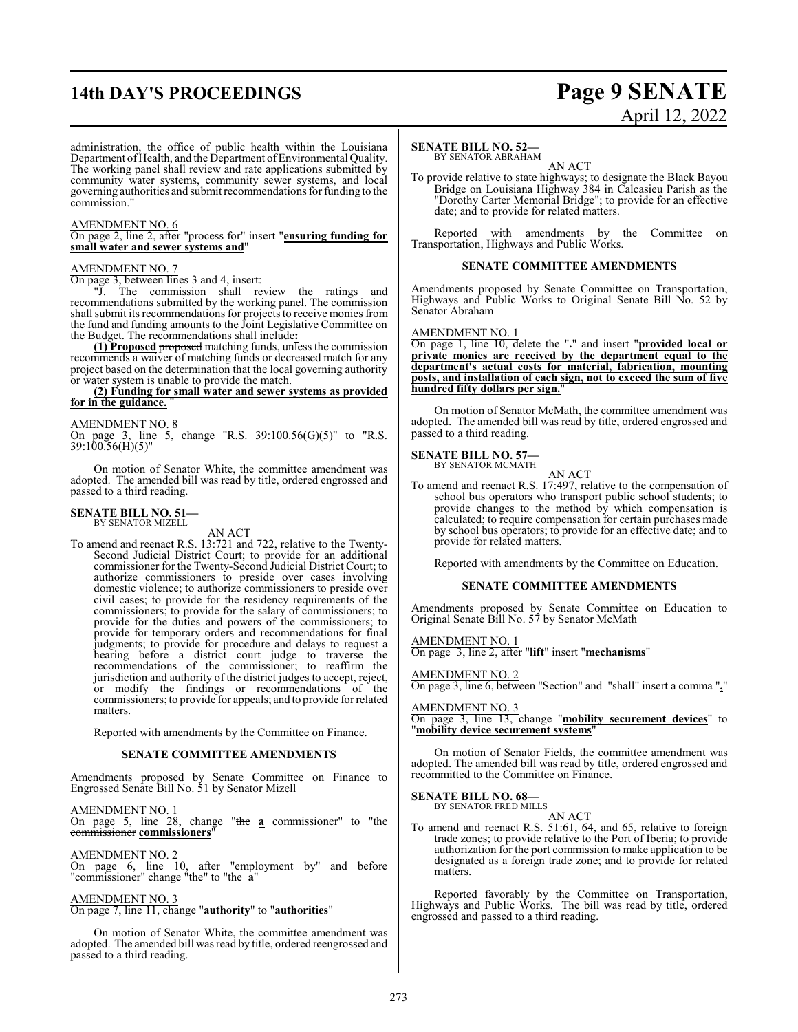## **14th DAY'S PROCEEDINGS Page 9 SENATE**

# April 12, 2022

administration, the office of public health within the Louisiana Department of Health, and the Department of Environmental Quality. The working panel shall review and rate applications submitted by community water systems, community sewer systems, and local governing authorities and submit recommendations for funding to the commission."

#### AMENDMENT NO. 6

On page 2, line 2, after "process for" insert "**ensuring funding for small water and sewer systems and**"

#### AMENDMENT NO. 7

On page 3, between lines 3 and 4, insert:

"J. The commission shall review the ratings and recommendations submitted by the working panel. The commission shall submit its recommendations for projects to receive monies from the fund and funding amounts to the Joint Legislative Committee on the Budget. The recommendations shall include**:**

**(1) Proposed** proposed matching funds, unless the commission recommends a waiver of matching funds or decreased match for any project based on the determination that the local governing authority or water system is unable to provide the match.

**(2) Funding for small water and sewer systems as provided** for in the guidance.

### AMENDMENT NO. 8

On page 3, line 5, change "R.S. 39:100.56(G)(5)" to "R.S. 39:100.56(H)(5)"

On motion of Senator White, the committee amendment was adopted. The amended bill was read by title, ordered engrossed and passed to a third reading.

#### **SENATE BILL NO. 51—** BY SENATOR MIZELL

#### AN ACT

To amend and reenact R.S. 13:721 and 722, relative to the Twenty-Second Judicial District Court; to provide for an additional commissioner for the Twenty-Second Judicial District Court; to authorize commissioners to preside over cases involving domestic violence; to authorize commissioners to preside over civil cases; to provide for the residency requirements of the commissioners; to provide for the salary of commissioners; to provide for the duties and powers of the commissioners; to provide for temporary orders and recommendations for final judgments; to provide for procedure and delays to request a hearing before a district court judge to traverse the recommendations of the commissioner; to reaffirm the jurisdiction and authority of the district judges to accept, reject, or modify the findings or recommendations of the commissioners; to provide for appeals; and to provide for related matters.

Reported with amendments by the Committee on Finance.

#### **SENATE COMMITTEE AMENDMENTS**

Amendments proposed by Senate Committee on Finance to Engrossed Senate Bill No. 51 by Senator Mizell

#### AMENDMENT NO. 1

On page 5, line 28, change "the **a** commissioner" to "the commissioner **commissioners**"

AMENDMENT NO. 2

On page 6, line 10, after "employment by" and before "commissioner" change "the" to "the **a**"

#### AMENDMENT NO. 3

#### On page 7, line 11, change "**authority**" to "**authorities**"

On motion of Senator White, the committee amendment was adopted. The amended bill was read by title, ordered reengrossed and passed to a third reading.

#### **SENATE BILL NO. 52—**

BY SENATOR ABRAHAM AN ACT

To provide relative to state highways; to designate the Black Bayou Bridge on Louisiana Highway 384 in Calcasieu Parish as the "Dorothy Carter Memorial Bridge"; to provide for an effective date; and to provide for related matters.

Reported with amendments by the Committee on Transportation, Highways and Public Works.

#### **SENATE COMMITTEE AMENDMENTS**

Amendments proposed by Senate Committee on Transportation, Highways and Public Works to Original Senate Bill No. 52 by Senator Abraham

#### AMENDMENT NO. 1

On page 1, line 10, delete the "**.**" and insert "**provided local or private monies are received by the department equal to the department's actual costs for material, fabrication, mounting posts, and installation of each sign, not to exceed the sum of five hundred fifty dollars per sign.**"

On motion of Senator McMath, the committee amendment was adopted. The amended bill was read by title, ordered engrossed and passed to a third reading.

## **SENATE BILL NO. 57—**<br>BY SENATOR MCMATH

AN ACT

To amend and reenact R.S. 17:497, relative to the compensation of school bus operators who transport public school students; to provide changes to the method by which compensation is calculated; to require compensation for certain purchases made by school bus operators; to provide for an effective date; and to provide for related matters.

Reported with amendments by the Committee on Education.

#### **SENATE COMMITTEE AMENDMENTS**

Amendments proposed by Senate Committee on Education to Original Senate Bill No. 57 by Senator McMath

#### AMENDMENT NO. 1

On page 3, line 2, after "**lift**" insert "**mechanisms**"

#### AMENDMENT NO. 2

On page 3, line 6, between "Section" and "shall" insert a comma "**,**"

AMENDMENT NO. 3 On page 3, line 13, change "**mobility securement devices**" to

#### "**mobility device securement systems**"

On motion of Senator Fields, the committee amendment was adopted. The amended bill was read by title, ordered engrossed and recommitted to the Committee on Finance.

#### **SENATE BILL NO. 68—**

BY SENATOR FRED MILLS AN ACT

To amend and reenact R.S. 51:61, 64, and 65, relative to foreign trade zones; to provide relative to the Port of Iberia; to provide authorization for the port commission to make application to be designated as a foreign trade zone; and to provide for related matters.

Reported favorably by the Committee on Transportation, Highways and Public Works. The bill was read by title, ordered engrossed and passed to a third reading.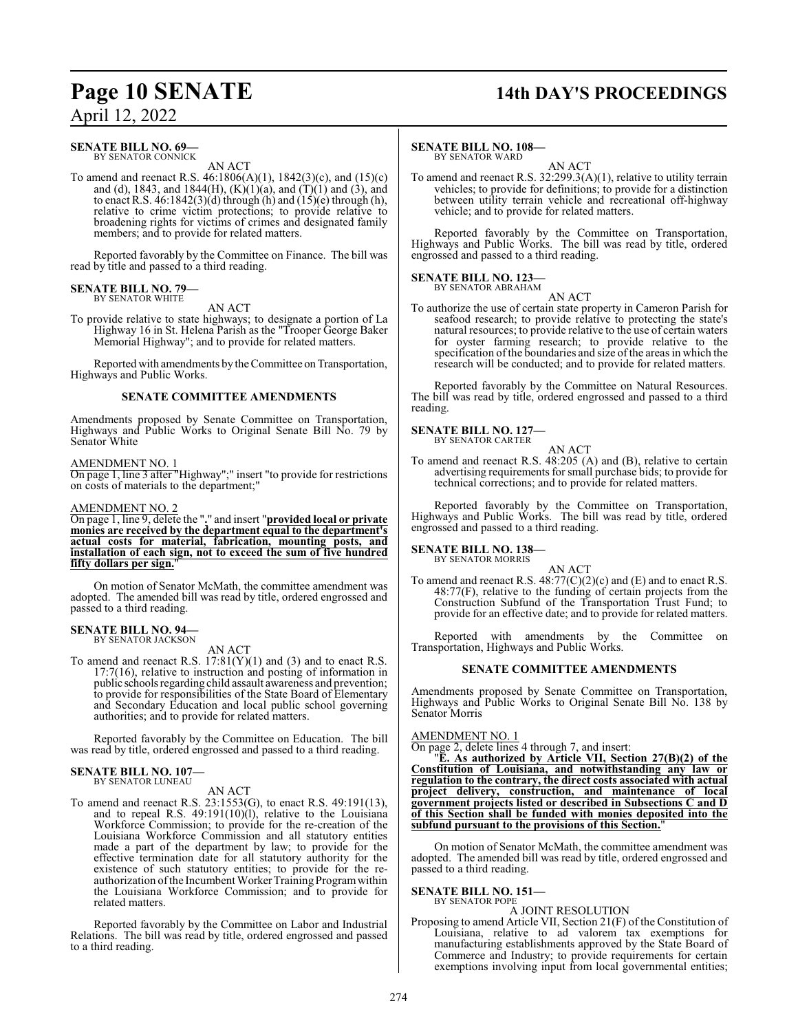### **SENATE BILL NO. 69—**

BY SENATOR CONNICK AN ACT

To amend and reenact R.S. 46:1806(A)(1), 1842(3)(c), and (15)(c) and (d), 1843, and 1844(H),  $(K)(1)(a)$ , and  $(T)(1)$  and  $(3)$ , and to enact R.S.  $46:1842(3)(d)$  through (h) and  $(15)(e)$  through (h), relative to crime victim protections; to provide relative to broadening rights for victims of crimes and designated family members; and to provide for related matters.

Reported favorably by the Committee on Finance. The bill was read by title and passed to a third reading.

#### **SENATE BILL NO. 79—** BY SENATOR WHITE

AN ACT

To provide relative to state highways; to designate a portion of La Highway 16 in St. Helena Parish as the "Trooper George Baker Memorial Highway"; and to provide for related matters.

Reported with amendments by the Committee on Transportation, Highways and Public Works.

#### **SENATE COMMITTEE AMENDMENTS**

Amendments proposed by Senate Committee on Transportation, Highways and Public Works to Original Senate Bill No. 79 by Senator White

#### AMENDMENT NO. 1

On page 1, line 3 after "Highway";" insert "to provide for restrictions on costs of materials to the department;"

#### AMENDMENT NO. 2

On page 1, line 9, delete the "**.**" and insert "**provided local or private monies are received by the department equal to the department's actual costs for material, fabrication, mounting posts, and installation of each sign, not to exceed the sum of five hundred fifty dollars per sign.**"

On motion of Senator McMath, the committee amendment was adopted. The amended bill was read by title, ordered engrossed and passed to a third reading.

#### **SENATE BILL NO. 94—** BY SENATOR JACKSON

AN ACT

To amend and reenact R.S.  $17:81(Y)(1)$  and (3) and to enact R.S. 17:7(16), relative to instruction and posting of information in public schools regarding child assault awareness and prevention; to provide for responsibilities of the State Board of Elementary and Secondary Education and local public school governing authorities; and to provide for related matters.

Reported favorably by the Committee on Education. The bill was read by title, ordered engrossed and passed to a third reading.

## **SENATE BILL NO. 107—** BY SENATOR LUNEAU

AN ACT

To amend and reenact R.S. 23:1553(G), to enact R.S. 49:191(13), and to repeal R.S. 49:191(10)(l), relative to the Louisiana Workforce Commission; to provide for the re-creation of the Louisiana Workforce Commission and all statutory entities made a part of the department by law; to provide for the effective termination date for all statutory authority for the existence of such statutory entities; to provide for the reauthorization of the Incumbent Worker Training Program within the Louisiana Workforce Commission; and to provide for related matters.

Reported favorably by the Committee on Labor and Industrial Relations. The bill was read by title, ordered engrossed and passed to a third reading.

## **Page 10 SENATE 14th DAY'S PROCEEDINGS**

#### **SENATE BILL NO. 108—**

BY SENATOR WARD

AN ACT To amend and reenact R.S. 32:299.3(A)(1), relative to utility terrain vehicles; to provide for definitions; to provide for a distinction between utility terrain vehicle and recreational off-highway vehicle; and to provide for related matters.

Reported favorably by the Committee on Transportation, Highways and Public Works. The bill was read by title, ordered engrossed and passed to a third reading.

## **SENATE BILL NO. 123—** BY SENATOR ABRAHAM

AN ACT

To authorize the use of certain state property in Cameron Parish for seafood research; to provide relative to protecting the state's natural resources; to provide relative to the use of certain waters for oyster farming research; to provide relative to the specification of the boundaries and size of the areas in which the research will be conducted; and to provide for related matters.

Reported favorably by the Committee on Natural Resources. The bill was read by title, ordered engrossed and passed to a third reading.

#### **SENATE BILL NO. 127—** BY SENATOR CARTER

AN ACT

To amend and reenact R.S. 48:205 (A) and (B), relative to certain advertising requirements for small purchase bids; to provide for technical corrections; and to provide for related matters.

Reported favorably by the Committee on Transportation, Highways and Public Works. The bill was read by title, ordered engrossed and passed to a third reading.

#### **SENATE BILL NO. 138—** BY SENATOR MORRIS

AN ACT

To amend and reenact R.S.  $48:77(C)(2)(c)$  and  $(E)$  and to enact R.S. 48:77(F), relative to the funding of certain projects from the Construction Subfund of the Transportation Trust Fund; to provide for an effective date; and to provide for related matters.

Reported with amendments by the Committee on Transportation, Highways and Public Works.

#### **SENATE COMMITTEE AMENDMENTS**

Amendments proposed by Senate Committee on Transportation, Highways and Public Works to Original Senate Bill No. 138 by Senator Morris

#### AMENDMENT NO. 1

On page 2, delete lines 4 through 7, and insert:

"**E. As authorized by Article VII, Section 27(B)(2) of the Constitution of Louisiana, and notwithstanding any law or regulation to the contrary, the direct costs associated with actual project delivery, construction, and maintenance of local government projects listed or described in Subsections C and D of this Section shall be funded with monies deposited into the subfund pursuant to the provisions of this Section.**"

On motion of Senator McMath, the committee amendment was adopted. The amended bill was read by title, ordered engrossed and passed to a third reading.

#### **SENATE BILL NO. 151—** BY SENATOR POPE

#### A JOINT RESOLUTION

Proposing to amend Article VII, Section 21(F) of the Constitution of Louisiana, relative to ad valorem tax exemptions for manufacturing establishments approved by the State Board of Commerce and Industry; to provide requirements for certain exemptions involving input from local governmental entities;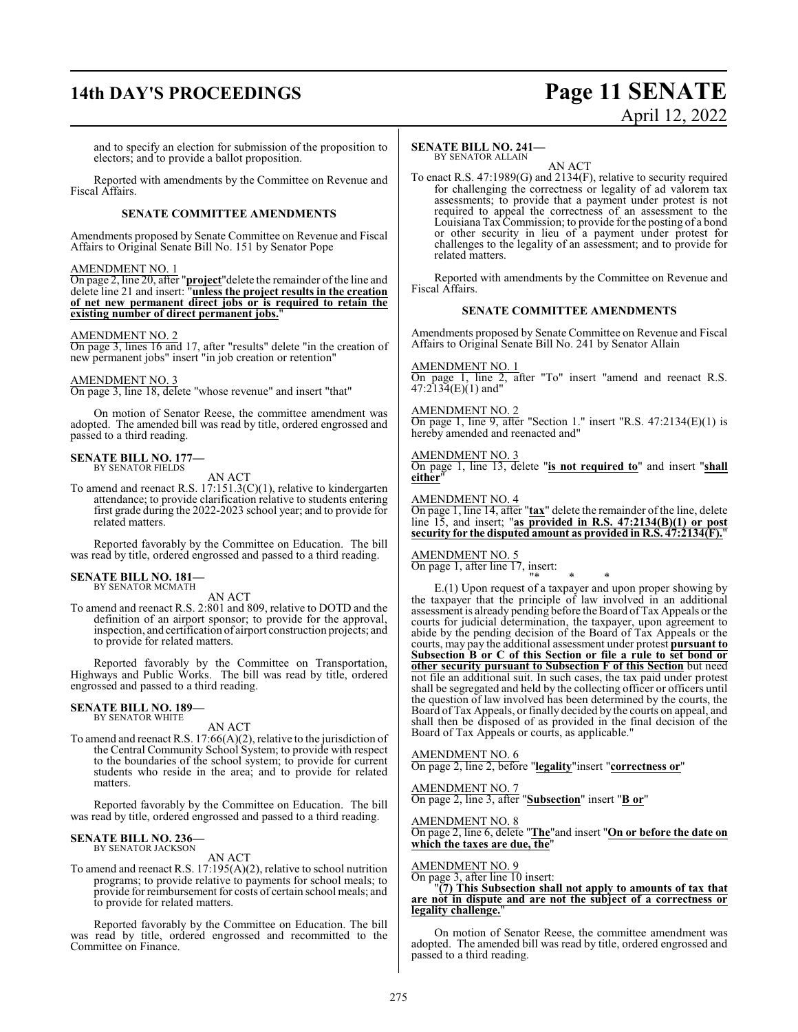## **14th DAY'S PROCEEDINGS Page 11 SENATE**

## April 12, 2022

and to specify an election for submission of the proposition to electors; and to provide a ballot proposition.

Reported with amendments by the Committee on Revenue and Fiscal Affairs.

#### **SENATE COMMITTEE AMENDMENTS**

Amendments proposed by Senate Committee on Revenue and Fiscal Affairs to Original Senate Bill No. 151 by Senator Pope

### AMENDMENT NO. 1

On page 2, line 20, after "**project**"delete the remainder of the line and delete line 21 and insert: "**unless the project results in the creation of net new permanent direct jobs or is required to retain the existing number of direct permanent jobs.**"

#### AMENDMENT NO. 2

On page 3, lines 16 and 17, after "results" delete "in the creation of new permanent jobs" insert "in job creation or retention"

#### AMENDMENT NO. 3

On page 3, line 18, delete "whose revenue" and insert "that"

On motion of Senator Reese, the committee amendment was adopted. The amended bill was read by title, ordered engrossed and passed to a third reading.

#### **SENATE BILL NO. 177—** BY SENATOR FIELDS

AN ACT

To amend and reenact R.S. 17:151.3(C)(1), relative to kindergarten attendance; to provide clarification relative to students entering first grade during the 2022-2023 school year; and to provide for related matters.

Reported favorably by the Committee on Education. The bill was read by title, ordered engrossed and passed to a third reading.

#### **SENATE BILL NO. 181—** BY SENATOR MCMATH

AN ACT

To amend and reenact R.S. 2:801 and 809, relative to DOTD and the definition of an airport sponsor; to provide for the approval, inspection, and certification of airport construction projects; and to provide for related matters.

Reported favorably by the Committee on Transportation, Highways and Public Works. The bill was read by title, ordered engrossed and passed to a third reading.

#### **SENATE BILL NO. 189—** BY SENATOR WHITE

AN ACT

To amend and reenact R.S. 17:66(A)(2), relative to the jurisdiction of the Central Community School System; to provide with respect to the boundaries of the school system; to provide for current students who reside in the area; and to provide for related matters.

Reported favorably by the Committee on Education. The bill was read by title, ordered engrossed and passed to a third reading.

#### **SENATE BILL NO. 236—** BY SENATOR JACKSON

AN ACT

To amend and reenact R.S. 17:195(A)(2), relative to school nutrition programs; to provide relative to payments for school meals; to provide for reimbursement for costs of certain school meals; and to provide for related matters.

Reported favorably by the Committee on Education. The bill was read by title, ordered engrossed and recommitted to the Committee on Finance.

#### **SENATE BILL NO. 241—** BY SENATOR ALLAIN

AN ACT

To enact R.S. 47:1989(G) and 2134(F), relative to security required for challenging the correctness or legality of ad valorem tax assessments; to provide that a payment under protest is not required to appeal the correctness of an assessment to the Louisiana TaxCommission; to provide for the posting of a bond or other security in lieu of a payment under protest for challenges to the legality of an assessment; and to provide for related matters.

Reported with amendments by the Committee on Revenue and Fiscal Affairs.

#### **SENATE COMMITTEE AMENDMENTS**

Amendments proposed by Senate Committee on Revenue and Fiscal Affairs to Original Senate Bill No. 241 by Senator Allain

#### AMENDMENT NO. 1

On page 1, line 2, after "To" insert "amend and reenact R.S. 47:2134(E)(1) and"

#### AMENDMENT NO. 2

On page 1, line 9, after "Section 1." insert "R.S.  $47:2134(E)(1)$  is hereby amended and reenacted and"

#### AMENDMENT NO. 3

On page 1, line 13, delete "**is not required to**" and insert "**shall either**"

#### AMENDMENT NO. 4

On page 1, line 14, after "**tax**" delete the remainder of the line, delete line 15, and insert; "**as provided in R.S. 47:2134(B)(1) or post security for the disputed amount as provided in R.S. 47:2134(F).**"

#### AMENDMENT NO. 5 On page 1, after line 17, insert:

"\* \* \*

E.(1) Upon request of a taxpayer and upon proper showing by the taxpayer that the principle of law involved in an additional assessment is already pending before theBoard ofTax Appeals or the courts for judicial determination, the taxpayer, upon agreement to abide by the pending decision of the Board of Tax Appeals or the courts, may pay the additional assessment under protest **pursuant to Subsection B or C of this Section or file a rule to set bond or other security pursuant to Subsection F of this Section** but need not file an additional suit. In such cases, the tax paid under protest shall be segregated and held by the collecting officer or officers until the question of law involved has been determined by the courts, the Board of Tax Appeals, or finally decided by the courts on appeal, and shall then be disposed of as provided in the final decision of the Board of Tax Appeals or courts, as applicable."

AMENDMENT NO. 6 On page 2, line 2, before "**legality**"insert "**correctness or**"

AMENDMENT NO. 7

On page 2, line 3, after "**Subsection**" insert "**B or**"

AMENDMENT NO. 8 On page 2, line 6, delete "**The**"and insert "**On or before the date on which the taxes are due, the**"

#### AMENDMENT NO. 9

On page 3, after line 10 insert:

#### "**(7) This Subsection shall not apply to amounts of tax that are not in dispute and are not the subject of a correctness or legality challenge.**"

On motion of Senator Reese, the committee amendment was adopted. The amended bill was read by title, ordered engrossed and passed to a third reading.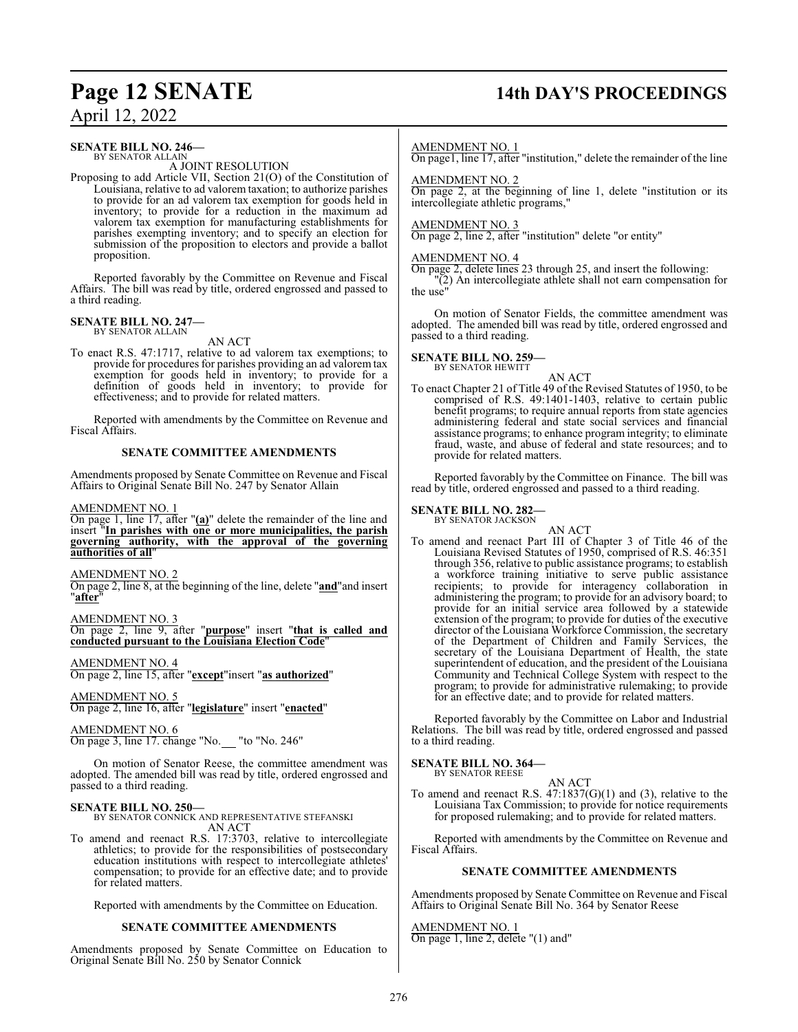## **Page 12 SENATE 14th DAY'S PROCEEDINGS**

April 12, 2022

#### **SENATE BILL NO. 246—**

BY SENATOR ALLAIN A JOINT RESOLUTION

Proposing to add Article VII, Section 21(O) of the Constitution of Louisiana, relative to ad valorem taxation; to authorize parishes to provide for an ad valorem tax exemption for goods held in inventory; to provide for a reduction in the maximum ad valorem tax exemption for manufacturing establishments for parishes exempting inventory; and to specify an election for submission of the proposition to electors and provide a ballot proposition.

Reported favorably by the Committee on Revenue and Fiscal Affairs. The bill was read by title, ordered engrossed and passed to a third reading.

#### **SENATE BILL NO. 247—**

BY SENATOR ALLAIN

AN ACT To enact R.S. 47:1717, relative to ad valorem tax exemptions; to provide for procedures for parishes providing an ad valorem tax exemption for goods held in inventory; to provide for a definition of goods held in inventory; to provide for effectiveness; and to provide for related matters.

Reported with amendments by the Committee on Revenue and Fiscal Affairs.

#### **SENATE COMMITTEE AMENDMENTS**

Amendments proposed by Senate Committee on Revenue and Fiscal Affairs to Original Senate Bill No. 247 by Senator Allain

AMENDMENT NO. 1

On page 1, line 17, after "**(a)**" delete the remainder of the line and insert "**In parishes with one or more municipalities, the parish governing authority, with the approval of the governing authorities of all**"

#### AMENDMENT NO. 2

On page 2, line 8, at the beginning of the line, delete "**and**"and insert "**after**"

AMENDMENT NO. 3

On page 2, line 9, after "**purpose**" insert "**that is called and conducted pursuant to the Louisiana Election Code**"

AMENDMENT NO. 4 On page 2, line 15, after "**except**"insert "**as authorized**"

AMENDMENT NO. 5 On page 2, line 16, after "**legislature**" insert "**enacted**"

AMENDMENT NO. 6 On page 3, line 17. change "No. "to "No. 246"

On motion of Senator Reese, the committee amendment was adopted. The amended bill was read by title, ordered engrossed and passed to a third reading.

**SENATE BILL NO. 250—** BY SENATOR CONNICK AND REPRESENTATIVE STEFANSKI AN ACT

To amend and reenact R.S. 17:3703, relative to intercollegiate athletics; to provide for the responsibilities of postsecondary education institutions with respect to intercollegiate athletes' compensation; to provide for an effective date; and to provide for related matters.

Reported with amendments by the Committee on Education.

#### **SENATE COMMITTEE AMENDMENTS**

Amendments proposed by Senate Committee on Education to Original Senate Bill No. 250 by Senator Connick

#### AMENDMENT NO. 1

On page1, line 17, after "institution," delete the remainder of the line

#### AMENDMENT NO. 2

On page 2, at the beginning of line 1, delete "institution or its intercollegiate athletic programs,"

#### AMENDMENT NO. 3

On page 2, line 2, after "institution" delete "or entity"

#### AMENDMENT NO. 4

On page 2, delete lines 23 through 25, and insert the following: "(2) An intercollegiate athlete shall not earn compensation for the use"

On motion of Senator Fields, the committee amendment was adopted. The amended bill was read by title, ordered engrossed and passed to a third reading.

#### **SENATE BILL NO. 259—**

BY SENATOR HEWITT

AN ACT To enact Chapter 21 of Title 49 of the Revised Statutes of 1950, to be comprised of R.S. 49:1401-1403, relative to certain public benefit programs; to require annual reports from state agencies administering federal and state social services and financial assistance programs; to enhance program integrity; to eliminate fraud, waste, and abuse of federal and state resources; and to provide for related matters.

Reported favorably by the Committee on Finance. The bill was read by title, ordered engrossed and passed to a third reading.

#### **SENATE BILL NO. 282—** BY SENATOR JACKSON

AN ACT

To amend and reenact Part III of Chapter 3 of Title 46 of the Louisiana Revised Statutes of 1950, comprised of R.S. 46:351 through 356, relative to public assistance programs; to establish a workforce training initiative to serve public assistance recipients; to provide for interagency collaboration in administering the program; to provide for an advisory board; to provide for an initial service area followed by a statewide extension of the program; to provide for duties of the executive director of the Louisiana Workforce Commission, the secretary of the Department of Children and Family Services, the secretary of the Louisiana Department of Health, the state superintendent of education, and the president of the Louisiana Community and Technical College System with respect to the program; to provide for administrative rulemaking; to provide for an effective date; and to provide for related matters.

Reported favorably by the Committee on Labor and Industrial Relations. The bill was read by title, ordered engrossed and passed to a third reading.

#### **SENATE BILL NO. 364—** BY SENATOR REESE

- AN ACT
- To amend and reenact R.S. 47:1837(G)(1) and (3), relative to the Louisiana Tax Commission; to provide for notice requirements for proposed rulemaking; and to provide for related matters.

Reported with amendments by the Committee on Revenue and Fiscal Affairs.

#### **SENATE COMMITTEE AMENDMENTS**

Amendments proposed by Senate Committee on Revenue and Fiscal Affairs to Original Senate Bill No. 364 by Senator Reese

AMENDMENT NO. 1 On page 1, line 2, delete "(1) and"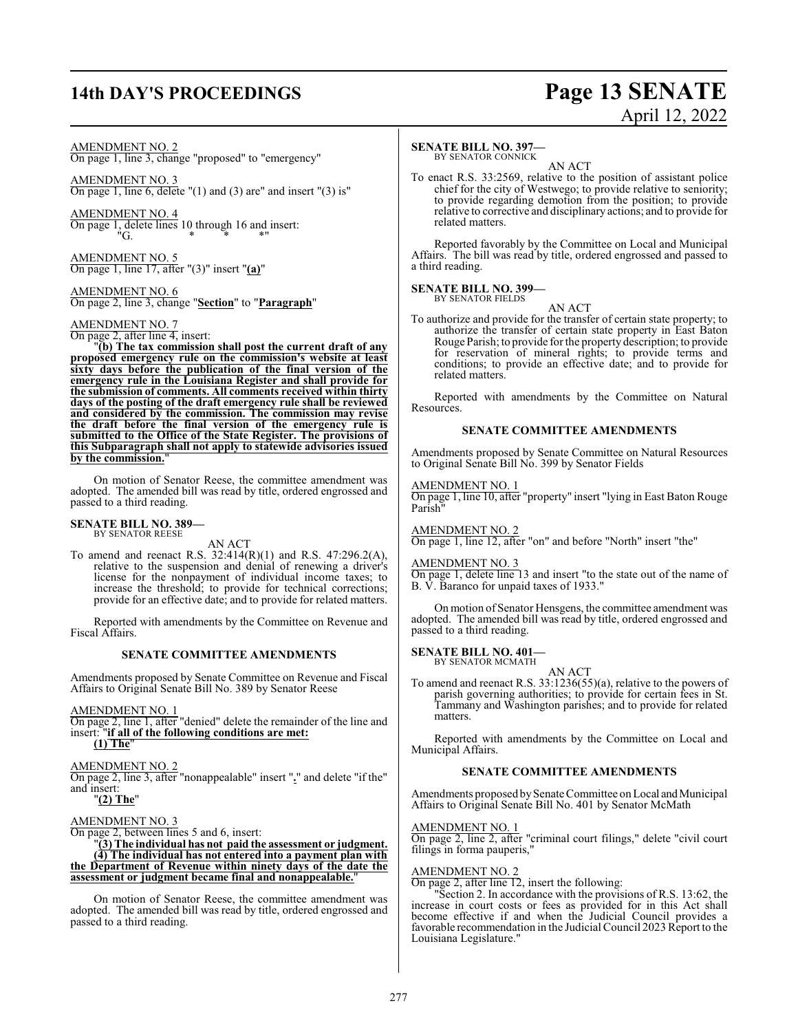## **14th DAY'S PROCEEDINGS Page 13 SENATE**

## April 12, 2022

#### AMENDMENT NO. 2

On page 1, line 3, change "proposed" to "emergency"

AMENDMENT NO. 3 On page 1, line 6, delete  $''(1)$  and  $(3)$  are" and insert  $''(3)$  is"

AMENDMENT NO. 4 On page 1, delete lines 10 through 16 and insert:  $"G.$  \* \* \* \*

AMENDMENT NO. 5 On page 1, line 17, after "(3)" insert "**(a)**"

AMENDMENT NO. 6 On page 2, line 3, change "**Section**" to "**Paragraph**"

#### AMENDMENT NO. 7

On page 2, after line 4, insert:

"**(b) The tax commission shall post the current draft of any proposed emergency rule on the commission's website at least sixty days before the publication of the final version of the emergency rule in the Louisiana Register and shall provide for the submission of comments. All comments received within thirty days of the posting of the draft emergency rule shall be reviewed and considered by the commission. The commission may revise the draft before the final version of the emergency rule is submitted to the Office of the State Register. The provisions of this Subparagraph shall not apply to statewide advisories issued by the commission.**"

On motion of Senator Reese, the committee amendment was adopted. The amended bill was read by title, ordered engrossed and passed to a third reading.

## **SENATE BILL NO. 389—** BY SENATOR REESE

AN ACT

To amend and reenact R.S. 32:414(R)(1) and R.S. 47:296.2(A), relative to the suspension and denial of renewing a driver's license for the nonpayment of individual income taxes; to increase the threshold; to provide for technical corrections; provide for an effective date; and to provide for related matters.

Reported with amendments by the Committee on Revenue and Fiscal Affairs.

#### **SENATE COMMITTEE AMENDMENTS**

Amendments proposed by Senate Committee on Revenue and Fiscal Affairs to Original Senate Bill No. 389 by Senator Reese

AMENDMENT NO. 1

On page 2, line 1, after "denied" delete the remainder of the line and insert: "**if all of the following conditions are met:**

**(1) The**"

#### AMENDMENT NO. 2

On page 2, line 3, after "nonappealable" insert "**.**" and delete "if the" and insert:

"**(2) The**"

#### AMENDMENT NO. 3

On page 2, between lines 5 and 6, insert:

"**(3) The individual has not paid the assessment or judgment. (4) The individual has not entered into a payment plan with the Department of Revenue within ninety days of the date the assessment or judgment became final and nonappealable.**"

On motion of Senator Reese, the committee amendment was adopted. The amended bill was read by title, ordered engrossed and passed to a third reading.

#### **SENATE BILL NO. 397—**

BY SENATOR CONNICK AN ACT

To enact R.S. 33:2569, relative to the position of assistant police chief for the city of Westwego; to provide relative to seniority; to provide regarding demotion from the position; to provide relative to corrective and disciplinary actions; and to provide for related matters.

Reported favorably by the Committee on Local and Municipal Affairs. The bill was read by title, ordered engrossed and passed to a third reading.

#### **SENATE BILL NO. 399—** BY SENATOR FIELDS

AN ACT

To authorize and provide for the transfer of certain state property; to authorize the transfer of certain state property in East Baton Rouge Parish; to provide for the property description; to provide for reservation of mineral rights; to provide terms and conditions; to provide an effective date; and to provide for related matters.

Reported with amendments by the Committee on Natural Resources.

#### **SENATE COMMITTEE AMENDMENTS**

Amendments proposed by Senate Committee on Natural Resources to Original Senate Bill No. 399 by Senator Fields

#### AMENDMENT NO. 1

On page 1, line 10, after "property" insert "lying in East Baton Rouge Parish"

#### AMENDMENT NO. 2

On page 1, line 12, after "on" and before "North" insert "the"

#### AMENDMENT NO. 3

On page 1, delete line 13 and insert "to the state out of the name of B. V. Baranco for unpaid taxes of 1933."

On motion of Senator Hensgens, the committee amendment was adopted. The amended bill was read by title, ordered engrossed and passed to a third reading.

#### **SENATE BILL NO. 401—**

BY SENATOR MCMATH AN ACT

To amend and reenact R.S. 33:1236(55)(a), relative to the powers of parish governing authorities; to provide for certain fees in St. Tammany and Washington parishes; and to provide for related matters.

Reported with amendments by the Committee on Local and Municipal Affairs.

#### **SENATE COMMITTEE AMENDMENTS**

Amendments proposed by Senate Committee on Local and Municipal Affairs to Original Senate Bill No. 401 by Senator McMath

#### AMENDMENT NO. 1

On page 2, line 2, after "criminal court filings," delete "civil court filings in forma pauperis,"

#### AMENDMENT NO. 2

On page 2, after line 12, insert the following:

"Section 2. In accordance with the provisions of R.S. 13:62, the increase in court costs or fees as provided for in this Act shall become effective if and when the Judicial Council provides a favorable recommendation in the Judicial Council 2023 Report to the Louisiana Legislature."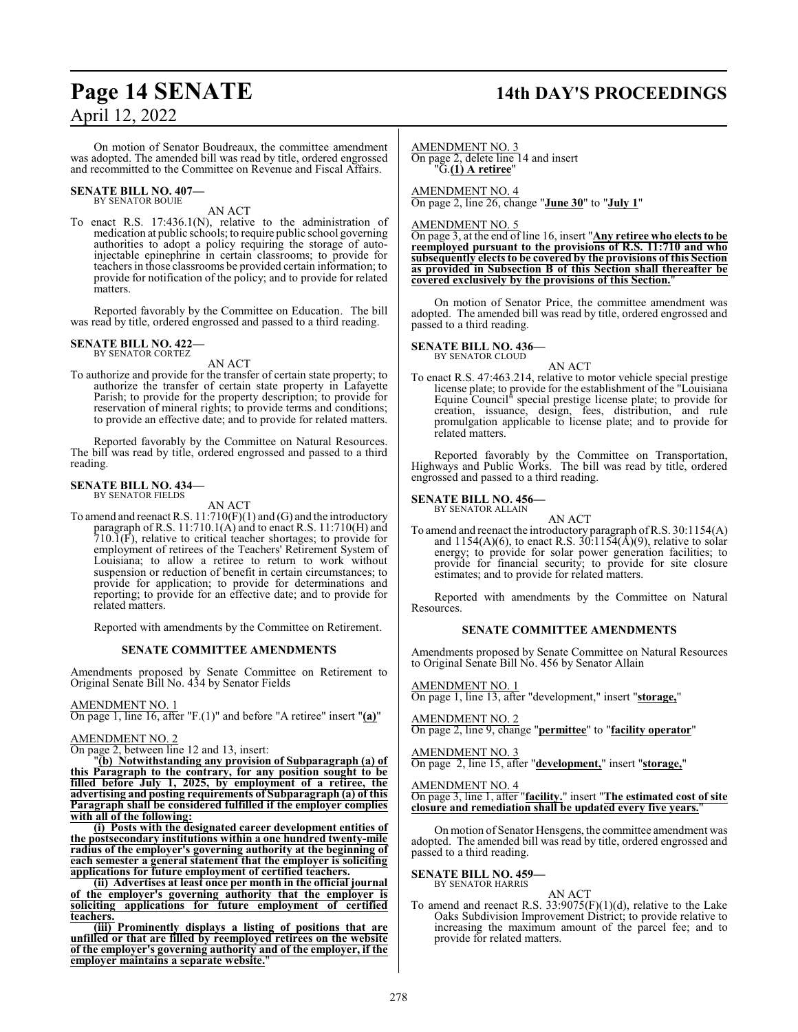## **Page 14 SENATE 14th DAY'S PROCEEDINGS**

On motion of Senator Boudreaux, the committee amendment was adopted. The amended bill was read by title, ordered engrossed and recommitted to the Committee on Revenue and Fiscal Affairs.

#### **SENATE BILL NO. 407—** BY SENATOR BOUIE

AN ACT

To enact R.S. 17:436.1(N), relative to the administration of medication at public schools; to require public school governing authorities to adopt a policy requiring the storage of autoinjectable epinephrine in certain classrooms; to provide for teachers in those classrooms be provided certain information; to provide for notification of the policy; and to provide for related matters.

Reported favorably by the Committee on Education. The bill was read by title, ordered engrossed and passed to a third reading.

#### **SENATE BILL NO. 422—** BY SENATOR CORTEZ

AN ACT

To authorize and provide for the transfer of certain state property; to authorize the transfer of certain state property in Lafayette Parish; to provide for the property description; to provide for reservation of mineral rights; to provide terms and conditions; to provide an effective date; and to provide for related matters.

Reported favorably by the Committee on Natural Resources. The bill was read by title, ordered engrossed and passed to a third reading.

## **SENATE BILL NO. 434—** BY SENATOR FIELDS

AN ACT

To amend and reenact R.S. 11:710(F)(1) and (G) and the introductory paragraph of R.S. 11:710.1(A) and to enact R.S. 11:710(H) and 710.1(F), relative to critical teacher shortages; to provide for employment of retirees of the Teachers' Retirement System of Louisiana; to allow a retiree to return to work without suspension or reduction of benefit in certain circumstances; to provide for application; to provide for determinations and reporting; to provide for an effective date; and to provide for related matters.

Reported with amendments by the Committee on Retirement.

#### **SENATE COMMITTEE AMENDMENTS**

Amendments proposed by Senate Committee on Retirement to Original Senate Bill No. 434 by Senator Fields

#### AMENDMENT NO. 1

On page 1, line 16, after "F.(1)" and before "A retiree" insert "**(a)**"

#### AMENDMENT NO. 2

On page 2, between line 12 and 13, insert:

"**(b) Notwithstanding any provision of Subparagraph (a) of this Paragraph to the contrary, for any position sought to be filled before July 1, 2025, by employment of a retiree, the advertising and posting requirements of Subparagraph (a) of this Paragraph shall be considered fulfilled if the employer complies with all of the following:**

**(i) Posts with the designated career development entities of the postsecondary institutions within a one hundred twenty-mile radius of the employer's governing authority at the beginning of each semester a general statement that the employer is soliciting applications for future employment of certified teachers.**

**(ii) Advertises at least once per month in the official journal of the employer's governing authority that the employer is soliciting applications for future employment of certified teachers.**

**(iii) Prominently displays a listing of positions that are unfilled or that are filled by reemployed retirees on the website of the employer's governing authority and of the employer, if the employer maintains a separate website.**"

AMENDMENT NO. 3 On page 2, delete line 14 and insert "G.**(1) A retiree**"

AMENDMENT NO. 4 On page 2, line 26, change "**June 30**" to "**July 1**"

AMENDMENT NO. 5

On page 3, at the end of line 16, insert "**Any retiree who elects to be reemployed pursuant to the provisions of R.S. 11:710 and who subsequently elects to be covered by the provisions of this Section as provided in Subsection B of this Section shall thereafter be covered exclusively by the provisions of this Section.**"

On motion of Senator Price, the committee amendment was adopted. The amended bill was read by title, ordered engrossed and passed to a third reading.

**SENATE BILL NO. 436—**

BY SENATOR CLOUD

AN ACT To enact R.S. 47:463.214, relative to motor vehicle special prestige license plate; to provide for the establishment of the "Louisiana Equine Council" special prestige license plate; to provide for creation, issuance, design, fees, distribution, and rule promulgation applicable to license plate; and to provide for related matters.

Reported favorably by the Committee on Transportation, Highways and Public Works. The bill was read by title, ordered engrossed and passed to a third reading.

**SENATE BILL NO. 456—** BY SENATOR ALLAIN

AN ACT

To amend and reenact the introductory paragraph ofR.S. 30:1154(A) and  $1154(A)(6)$ , to enact R.S.  $30:1154(\text{\AA})(9)$ , relative to solar energy; to provide for solar power generation facilities; to provide for financial security; to provide for site closure estimates; and to provide for related matters.

Reported with amendments by the Committee on Natural Resources.

#### **SENATE COMMITTEE AMENDMENTS**

Amendments proposed by Senate Committee on Natural Resources to Original Senate Bill No. 456 by Senator Allain

AMENDMENT NO. 1

On page 1, line 13, after "development," insert "**storage,**"

#### AMENDMENT NO. 2

On page 2, line 9, change "**permittee**" to "**facility operator**"

AMENDMENT NO. 3

On page 2, line 15, after "**development,**" insert "**storage,**"

#### AMENDMENT NO. 4

On page 3, line 1, after "**facility.**" insert "**The estimated cost of site closure and remediation shall be updated every five years.**"

On motion of Senator Hensgens, the committee amendment was adopted. The amended bill was read by title, ordered engrossed and passed to a third reading.

## **SENATE BILL NO. 459—** BY SENATOR HARRIS

AN ACT To amend and reenact R.S. 33:9075(F)(1)(d), relative to the Lake Oaks Subdivision Improvement District; to provide relative to increasing the maximum amount of the parcel fee; and to provide for related matters.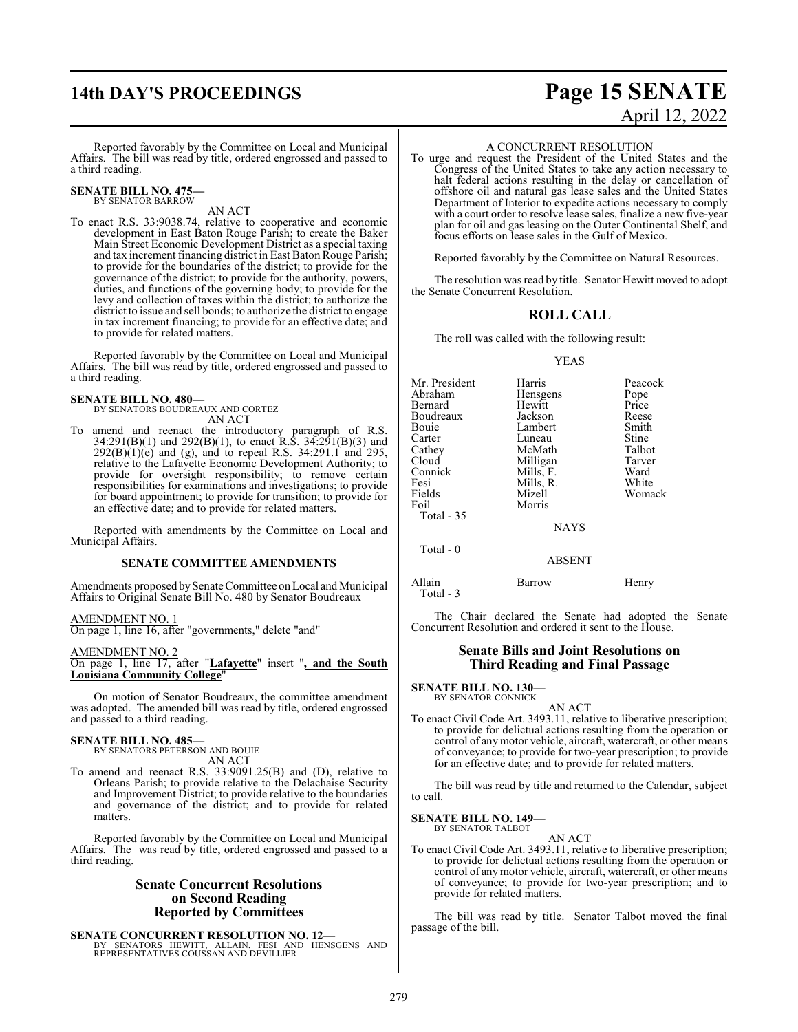## **14th DAY'S PROCEEDINGS Page 15 SENATE**

## April 12, 2022

Reported favorably by the Committee on Local and Municipal Affairs. The bill was read by title, ordered engrossed and passed to a third reading.

**SENATE BILL NO. 475—** BY SENATOR BARROW

AN ACT

To enact R.S. 33:9038.74, relative to cooperative and economic development in East Baton Rouge Parish; to create the Baker Main Street Economic Development District as a special taxing and tax increment financing district in East Baton Rouge Parish; to provide for the boundaries of the district; to provide for the governance of the district; to provide for the authority, powers, duties, and functions of the governing body; to provide for the levy and collection of taxes within the district; to authorize the district to issue and sell bonds; to authorize the district to engage in tax increment financing; to provide for an effective date; and to provide for related matters.

Reported favorably by the Committee on Local and Municipal Affairs. The bill was read by title, ordered engrossed and passed to a third reading.

#### **SENATE BILL NO. 480—**

BY SENATORS BOUDREAUX AND CORTEZ AN ACT

To amend and reenact the introductory paragraph of R.S. 34:291(B)(1) and 292(B)(1), to enact R.S. 34:291(B)(3) and  $292(B)(1)(e)$  and (g), and to repeal R.S. 34:291.1 and 295, relative to the Lafayette Economic Development Authority; to provide for oversight responsibility; to remove certain responsibilities for examinations and investigations; to provide for board appointment; to provide for transition; to provide for an effective date; and to provide for related matters.

Reported with amendments by the Committee on Local and Municipal Affairs.

#### **SENATE COMMITTEE AMENDMENTS**

Amendments proposed by Senate Committee on Local and Municipal Affairs to Original Senate Bill No. 480 by Senator Boudreaux

#### AMENDMENT NO. 1

On page 1, line 16, after "governments," delete "and"

#### AMENDMENT NO. 2

On page 1, line 17, after "**Lafayette**" insert "**, and the South Louisiana Community College**"

On motion of Senator Boudreaux, the committee amendment was adopted. The amended bill was read by title, ordered engrossed and passed to a third reading.

#### **SENATE BILL NO. 485—**

BY SENATORS PETERSON AND BOUIE AN ACT

To amend and reenact R.S. 33:9091.25(B) and (D), relative to Orleans Parish; to provide relative to the Delachaise Security and Improvement District; to provide relative to the boundaries and governance of the district; and to provide for related matters.

Reported favorably by the Committee on Local and Municipal Affairs. The was read by title, ordered engrossed and passed to a third reading.

#### **Senate Concurrent Resolutions on Second Reading Reported by Committees**

**SENATE CONCURRENT RESOLUTION NO. 12—** BY SENATORS HEWITT, ALLAIN, FESI AND HENSGENS AND REPRESENTATIVES COUSSAN AND DEVILLIER

#### A CONCURRENT RESOLUTION

To urge and request the President of the United States and the Congress of the United States to take any action necessary to halt federal actions resulting in the delay or cancellation of offshore oil and natural gas lease sales and the United States Department of Interior to expedite actions necessary to comply with a court order to resolve lease sales, finalize a new five-year plan for oil and gas leasing on the Outer Continental Shelf, and focus efforts on lease sales in the Gulf of Mexico.

Reported favorably by the Committee on Natural Resources.

The resolution was read by title. Senator Hewitt moved to adopt the Senate Concurrent Resolution.

### **ROLL CALL**

The roll was called with the following result:

#### YEAS

| Mr. President | Harris      | Peacock |
|---------------|-------------|---------|
| Abraham       | Hensgens    | Pope    |
| Bernard       | Hewitt      | Price   |
| Boudreaux     | Jackson     | Reese   |
| Bouie         | Lambert     | Smith   |
| Carter        | Luneau      | Stine   |
| Cathey        | McMath      | Talbot  |
| Cloud         | Milligan    | Tarver  |
| Connick       | Mills, F.   | Ward    |
| Fesi          | Mills, R.   | White   |
| Fields        | Mizell      | Womack  |
| Foil          | Morris      |         |
| Total - 35    |             |         |
|               | <b>NAYS</b> |         |
| Total - 0     |             |         |
|               | ABSENT      |         |
|               |             |         |

Allain Barrow Henry Total - 3

The Chair declared the Senate had adopted the Senate Concurrent Resolution and ordered it sent to the House.

#### **Senate Bills and Joint Resolutions on Third Reading and Final Passage**

**SENATE BILL NO. 130—**

BY SENATOR CONNICK AN ACT

To enact Civil Code Art. 3493.11, relative to liberative prescription; to provide for delictual actions resulting from the operation or control of anymotor vehicle, aircraft, watercraft, or other means of conveyance; to provide for two-year prescription; to provide for an effective date; and to provide for related matters.

The bill was read by title and returned to the Calendar, subject to call.

**SENATE BILL NO. 149—** BY SENATOR TALBOT

AN ACT

To enact Civil Code Art. 3493.11, relative to liberative prescription; to provide for delictual actions resulting from the operation or control of anymotor vehicle, aircraft, watercraft, or other means of conveyance; to provide for two-year prescription; and to provide for related matters.

The bill was read by title. Senator Talbot moved the final passage of the bill.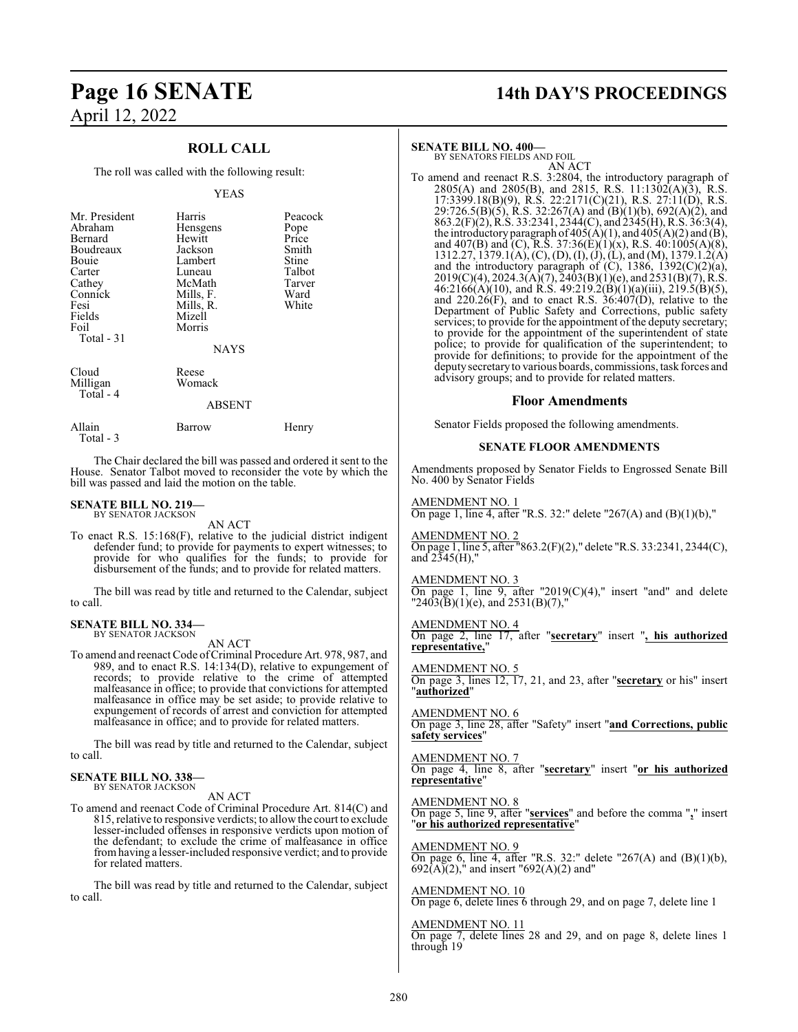### **ROLL CALL**

The roll was called with the following result:

#### YEAS

| Mr. President<br>Abraham<br>Bernard<br>Boudreaux<br>Bouie<br>Carter<br>Cathey<br>Connick<br>Fesi<br>Fields<br>Foil<br>Total $-31$ | Harris<br>Hensgens<br>Hewitt<br>Jackson<br>Lambert<br>Luneau<br>McMath<br>Mills, F.<br>Mills, R.<br>Mizell<br>Morris | Peacock<br>Pope<br>Price<br>Smith<br>Stine<br>Talbot<br>Tarver<br>Ward<br>White |
|-----------------------------------------------------------------------------------------------------------------------------------|----------------------------------------------------------------------------------------------------------------------|---------------------------------------------------------------------------------|
| Cloud<br>Milligan<br>Total - 4                                                                                                    | <b>NAYS</b><br>Reese<br>Womack<br>ABSENT                                                                             |                                                                                 |
| Allain                                                                                                                            | Barrow                                                                                                               | Henry                                                                           |

The Chair declared the bill was passed and ordered it sent to the House. Senator Talbot moved to reconsider the vote by which the bill was passed and laid the motion on the table.

#### **SENATE BILL NO. 219—** BY SENATOR JACKSON

Total - 3

AN ACT

To enact R.S. 15:168(F), relative to the judicial district indigent defender fund; to provide for payments to expert witnesses; to provide for who qualifies for the funds; to provide for disbursement of the funds; and to provide for related matters.

The bill was read by title and returned to the Calendar, subject to call.

#### **SENATE BILL NO. 334—** BY SENATOR JACKSON

AN ACT

To amend and reenact Code of Criminal Procedure Art. 978, 987, and 989, and to enact R.S. 14:134(D), relative to expungement of records; to provide relative to the crime of attempted malfeasance in office; to provide that convictions for attempted malfeasance in office may be set aside; to provide relative to expungement of records of arrest and conviction for attempted malfeasance in office; and to provide for related matters.

The bill was read by title and returned to the Calendar, subject to call.

#### **SENATE BILL NO. 338—** BY SENATOR JACKSON

AN ACT

To amend and reenact Code of Criminal Procedure Art. 814(C) and 815, relative to responsive verdicts; to allow the court to exclude lesser-included offenses in responsive verdicts upon motion of the defendant; to exclude the crime of malfeasance in office fromhaving a lesser-included responsive verdict; and to provide for related matters.

The bill was read by title and returned to the Calendar, subject to call.

## **Page 16 SENATE 14th DAY'S PROCEEDINGS**

#### **SENATE BILL NO. 400—**

BY SENATORS FIELDS AND FOIL AN ACT

To amend and reenact R.S. 3:2804, the introductory paragraph of  $2805(A)$  and  $2805(B)$ , and  $2815$ , R.S.  $11:1302(A)(3)$ , R.S. 17:3399.18(B)(9), R.S. 22:2171(C)(21), R.S. 27:11(D), R.S. 29:726.5(B)(5), R.S. 32:267(A) and (B)(1)(b), 692(A)(2), and 863.2(F)(2), R.S. 33:2341, 2344(C), and 2345(H), R.S. 36:3(4), the introductory paragraph of  $405(A)(1)$ , and  $405(A)(2)$  and  $(B)$ , and 407(B) and (C), R.S. 37:36(E)(1)(x), R.S. 40:1005(A)(8), 1312.27, 1379.1(A), (C), (D), (I), (J), (L), and (M), 1379.1.2(A) and the introductory paragraph of  $(C)$ , 1386, 1392 $(C)(2)(a)$ ,  $2019(C)(4)$ ,  $2024.3(A)(7)$ ,  $2403(B)(1)(e)$ , and  $2531(B)(7)$ , R.S.  $46:2166(A)(10)$ , and R.S.  $49:219.2(B)(1)(a)(iii)$ ,  $219.5(B)(5)$ , and  $220.26(F)$ , and to enact R.S.  $36:407(D)$ , relative to the Department of Public Safety and Corrections, public safety services; to provide for the appointment of the deputy secretary; to provide for the appointment of the superintendent of state police; to provide for qualification of the superintendent; to provide for definitions; to provide for the appointment of the deputy secretaryto various boards, commissions, task forces and advisory groups; and to provide for related matters.

#### **Floor Amendments**

Senator Fields proposed the following amendments.

#### **SENATE FLOOR AMENDMENTS**

Amendments proposed by Senator Fields to Engrossed Senate Bill No. 400 by Senator Fields

AMENDMENT NO. 1 On page 1, line 4, after "R.S. 32:" delete "267(A) and  $(B)(1)(b)$ ,"

AMENDMENT NO. 2

On page 1, line 5, after "863.2(F)(2)," delete "R.S. 33:2341, 2344(C), and  $2345(H)$ ,"

AMENDMENT NO. 3

On page 1, line 9, after "2019 $(C)(4)$ ," insert "and" and delete  $"2403(B)(1)(e)$ , and  $2531(B)(7)$ ,"

AMENDMENT NO. 4

On page 2, line 17, after "**secretary**" insert "**, his authorized representative,**"

AMENDMENT NO. 5

On page 3, lines 12, 17, 21, and 23, after "**secretary** or his" insert "**authorized**"

AMENDMENT NO. 6 On page 3, line 28, after "Safety" insert "**and Corrections, public safety services**"

AMENDMENT NO. 7 On page 4, line 8, after "**secretary**" insert "**or his authorized representative**"

AMENDMENT NO. 8

On page 5, line 9, after "**services**" and before the comma "**,**" insert "**or his authorized representative**"

AMENDMENT NO. 9 On page 6, line 4, after "R.S. 32:" delete "267(A) and  $(B)(1)(b)$ ,

 $692(A)(2)$ ," and insert "692(A)(2) and" AMENDMENT NO. 10

On page 6, delete lines 6 through 29, and on page 7, delete line 1

AMENDMENT NO. 11 On page 7, delete lines 28 and 29, and on page 8, delete lines 1 through 19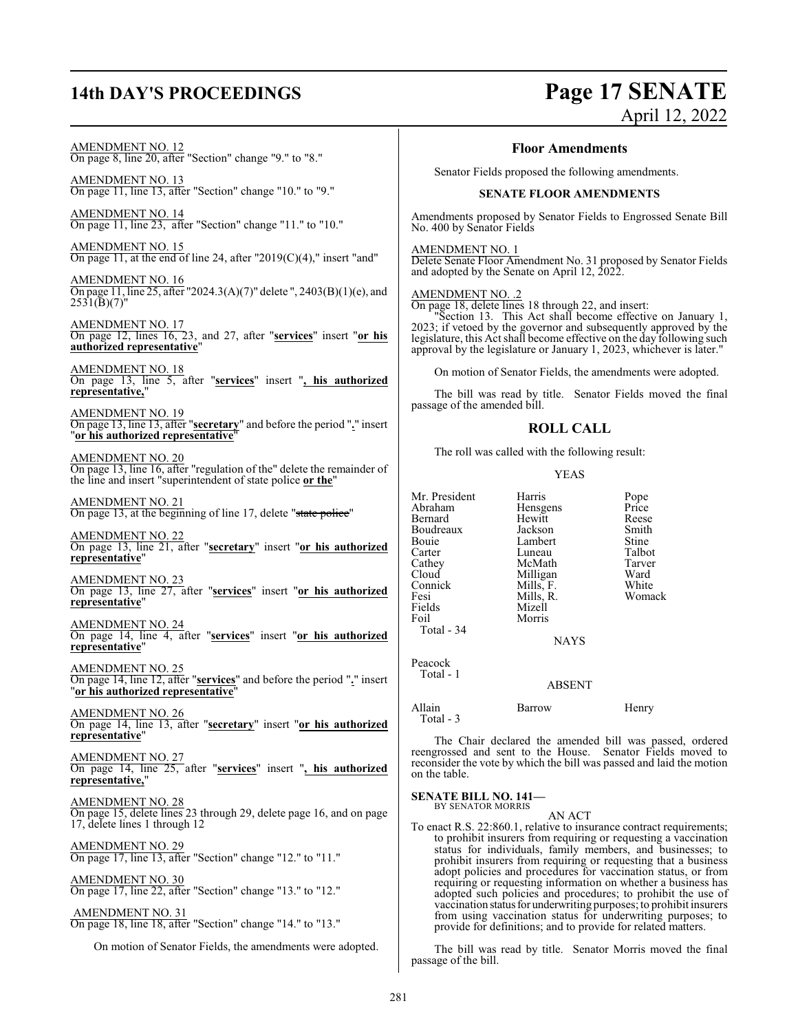## **14th DAY'S PROCEEDINGS Page 17 SENATE**

## April 12, 2022

AMENDMENT NO. 12 On page 8, line 20, after "Section" change "9." to "8."

AMENDMENT NO. 13 On page 11, line 13, after "Section" change "10." to "9."

AMENDMENT NO. 14 On page 11, line 23, after "Section" change "11." to "10."

AMENDMENT NO. 15 On page 11, at the end of line 24, after "2019(C)(4)," insert "and"

AMENDMENT NO. 16 On page 11, line 25, after "2024.3(A)(7)" delete ", 2403(B)(1)(e), and  $2531(\text{B})(7)^{\text{t}}$ 

AMENDMENT NO. 17 On page 12, lines 16, 23, and 27, after "**services**" insert "**or his authorized representative**"

AMENDMENT NO. 18 On page 13, line 5, after "**services**" insert "**, his authorized representative,**"

AMENDMENT NO. 19 On page 13, line 13, after "**secretary**" and before the period "**.**" insert "**or his authorized representative**"

AMENDMENT NO. 20 On page 13, line 16, after "regulation of the" delete the remainder of the line and insert "superintendent of state police **or the**"

AMENDMENT NO. 21 On page 13, at the beginning of line 17, delete "state police"

AMENDMENT NO. 22 On page 13, line 21, after "**secretary**" insert "**or his authorized representative**"

AMENDMENT NO. 23 On page 13, line 27, after "**services**" insert "**or his authorized representative**"

AMENDMENT NO. 24 On page 14, line 4, after "**services**" insert "**or his authorized representative**"

AMENDMENT NO. 25 On page 14, line 12, after "**services**" and before the period "**.**" insert "**or his authorized representative**"

AMENDMENT NO. 26 On page 14, line 13, after "**secretary**" insert "**or his authorized representative**"

AMENDMENT NO. 27 On page 14, line 25, after "**services**" insert "**, his authorized representative,**"

AMENDMENT NO. 28 On page 15, delete lines 23 through 29, delete page 16, and on page 17, delete lines 1 through 12

AMENDMENT NO. 29 On page 17, line 13, after "Section" change "12." to "11."

AMENDMENT NO. 30 On page 17, line 22, after "Section" change "13." to "12."

 AMENDMENT NO. 31 On page 18, line 18, after "Section" change "14." to "13."

On motion of Senator Fields, the amendments were adopted.

#### **Floor Amendments**

Senator Fields proposed the following amendments.

#### **SENATE FLOOR AMENDMENTS**

Amendments proposed by Senator Fields to Engrossed Senate Bill No. 400 by Senator Fields

AMENDMENT NO. 1

Delete Senate Floor Amendment No. 31 proposed by Senator Fields and adopted by the Senate on April 12, 2022.

#### AMENDMENT NO. .2

On page 18, delete lines 18 through 22, and insert:

"Section 13. This Act shall become effective on January 1, 2023; if vetoed by the governor and subsequently approved by the legislature, this Act shall become effective on the day following such approval by the legislature or January 1, 2023, whichever is later."

On motion of Senator Fields, the amendments were adopted.

The bill was read by title. Senator Fields moved the final passage of the amended bill.

#### **ROLL CALL**

The roll was called with the following result:

#### YEAS

Fields Mizell<br>Foil Morris Total - 34

Peacock Total - 1

Mr. President Harris Pope<br>Abraham Hensgens Price Hensgens Price<br>Hewitt Reese Bernard Hewitt Reese<br>Boudreaux Jackson Smith Boudreaux Jackson Smith Bouie Lambert Stine<br>
Carter Luneau Talbot Carter Luneau Talbot<br>Cathey McMath Tarver Cathey McMath Tarver<br>Cloud Milligan Ward Cloud Milligan Ward<br>Connick Mills. F. White Connick Mills, F. White Fesi Mills, R. Womack

NAYS

### ABSENT

Allain Barrow Henry Total - 3

Morris

The Chair declared the amended bill was passed, ordered reengrossed and sent to the House. Senator Fields moved to reconsider the vote by which the bill was passed and laid the motion on the table.

**SENATE BILL NO. 141—** BY SENATOR MORRIS

AN ACT

To enact R.S. 22:860.1, relative to insurance contract requirements; to prohibit insurers from requiring or requesting a vaccination status for individuals, family members, and businesses; to prohibit insurers from requiring or requesting that a business adopt policies and procedures for vaccination status, or from requiring or requesting information on whether a business has adopted such policies and procedures; to prohibit the use of vaccination status for underwriting purposes; to prohibit insurers from using vaccination status for underwriting purposes; to provide for definitions; and to provide for related matters.

The bill was read by title. Senator Morris moved the final passage of the bill.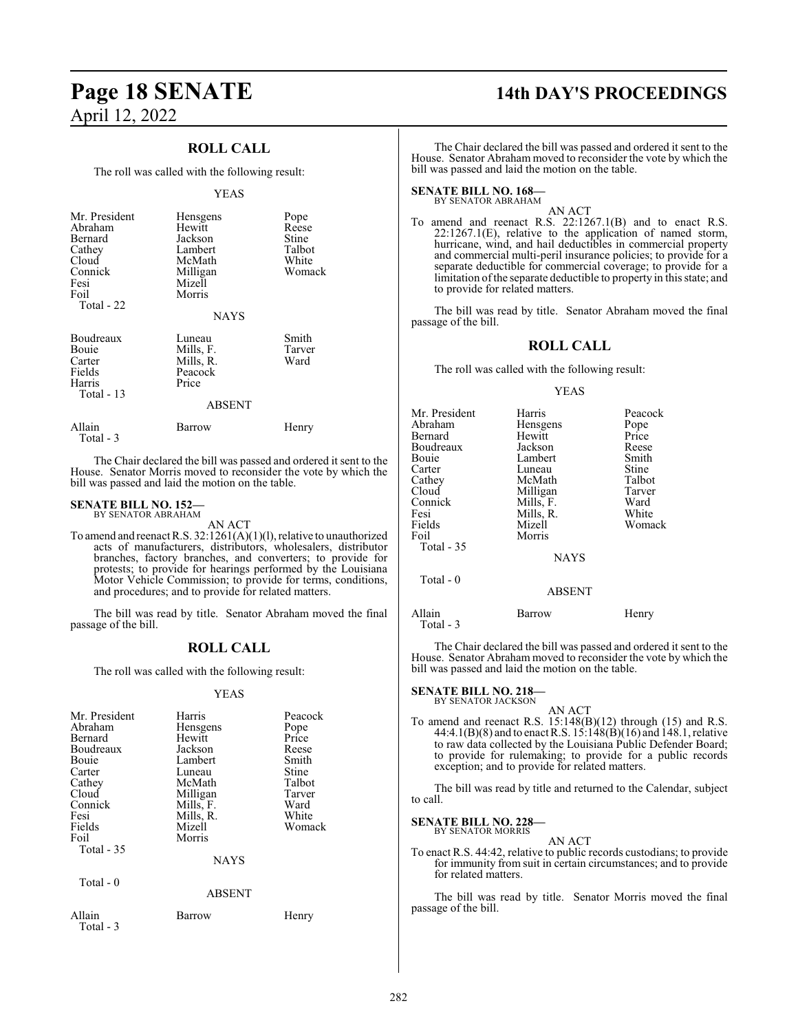### **ROLL CALL**

The roll was called with the following result:

#### YEAS

| Mr. President<br>Abraham<br>Bernard<br>Cathey<br>Cloud<br>Connick<br>Fesi<br>Foil<br>Total - 22 | Hensgens<br>Hewitt<br>Jackson<br>Lambert<br>McMath<br>Milligan<br>Mizell<br>Morris<br><b>NAYS</b> | Pope<br>Reese<br>Stine<br>Talbot<br>White<br>Womack |
|-------------------------------------------------------------------------------------------------|---------------------------------------------------------------------------------------------------|-----------------------------------------------------|
| Boudreaux<br>Bouie<br>Carter<br>Fields<br>Harris<br>Total $-13$                                 | Luneau<br>Mills, F.<br>Mills, R.<br>Peacock<br>Price<br><b>ABSENT</b>                             | Smith<br>Tarver<br>Ward                             |
| Allain                                                                                          | Barrow                                                                                            | Henry                                               |

The Chair declared the bill was passed and ordered it sent to the House. Senator Morris moved to reconsider the vote by which the bill was passed and laid the motion on the table.

#### **SENATE BILL NO. 152—** BY SENATOR ABRAHAM

Total - 3

Total - 3

AN ACT

To amend and reenact R.S. 32:1261(A)(1)(l), relative to unauthorized acts of manufacturers, distributors, wholesalers, distributor branches, factory branches, and converters; to provide for protests; to provide for hearings performed by the Louisiana Motor Vehicle Commission; to provide for terms, conditions, and procedures; and to provide for related matters.

The bill was read by title. Senator Abraham moved the final passage of the bill.

#### **ROLL CALL**

The roll was called with the following result:

#### YEAS

| Mr. President<br>Abraham<br>Bernard<br>Boudreaux<br>Bouie<br>Carter<br>Cathey<br>Cloud<br>Connick<br>Fesi<br>Fields<br>Foil<br>Total $-35$ | Harris<br>Hensgens<br>Hewitt<br>Jackson<br>Lambert<br>Luneau<br>McMath<br>Milligan<br>Mills, F.<br>Mills, R.<br>Mizell<br>Morris | Peacock<br>Pope<br>Price<br>Reese<br>Smith<br>Stine<br>Talbot<br>Tarver<br>Ward<br>White<br>Womack |
|--------------------------------------------------------------------------------------------------------------------------------------------|----------------------------------------------------------------------------------------------------------------------------------|----------------------------------------------------------------------------------------------------|
|                                                                                                                                            | <b>NAYS</b>                                                                                                                      |                                                                                                    |
| Total $-0$                                                                                                                                 | <b>ABSENT</b>                                                                                                                    |                                                                                                    |
| Allain                                                                                                                                     | Barrow                                                                                                                           | Henry                                                                                              |

## **Page 18 SENATE 14th DAY'S PROCEEDINGS**

The Chair declared the bill was passed and ordered it sent to the House. Senator Abraham moved to reconsider the vote by which the bill was passed and laid the motion on the table.

#### **SENATE BILL NO. 168—** BY SENATOR ABRAHAM

AN ACT

To amend and reenact R.S. 22:1267.1(B) and to enact R.S. 22:1267.1(E), relative to the application of named storm, hurricane, wind, and hail deductibles in commercial property and commercial multi-peril insurance policies; to provide for a separate deductible for commercial coverage; to provide for a limitation ofthe separate deductible to property in this state; and to provide for related matters.

The bill was read by title. Senator Abraham moved the final passage of the bill.

#### **ROLL CALL**

The roll was called with the following result:

YEAS

| Mr. President<br>Abraham<br>Bernard<br>Boudreaux<br>Bouie<br>Carter<br>Cathey<br>Cloud<br>Connick<br>Fesi<br>Fields<br>Foil<br>Total - 35<br>Total - 0 | Harris<br>Hensgens<br>Hewitt<br>Jackson<br>Lambert<br>Luneau<br>McMath<br>Milligan<br>Mills, F.<br>Mills, R.<br>Mizell<br>Morris<br><b>NAYS</b><br><b>ABSENT</b> | Peacock<br>Pope<br>Price<br>Reese<br>Smith<br>Stine<br>Talbot<br>Tarver<br>Ward<br>White<br>Womack |
|--------------------------------------------------------------------------------------------------------------------------------------------------------|------------------------------------------------------------------------------------------------------------------------------------------------------------------|----------------------------------------------------------------------------------------------------|
| Allain<br>Total - 3                                                                                                                                    | Barrow                                                                                                                                                           | Henry                                                                                              |

The Chair declared the bill was passed and ordered it sent to the House. Senator Abraham moved to reconsider the vote by which the bill was passed and laid the motion on the table.

#### **SENATE BILL NO. 218—**

BY SENATOR JACKSON

AN ACT To amend and reenact R.S. 15:148(B)(12) through (15) and R.S. 44:4.1(B)(8) and to enact R.S. 15:148(B)(16) and 148.1, relative to raw data collected by the Louisiana Public Defender Board; to provide for rulemaking; to provide for a public records exception; and to provide for related matters.

The bill was read by title and returned to the Calendar, subject to call.

**SENATE BILL NO. 228—** BY SENATOR MORRIS

AN ACT

To enact R.S. 44:42, relative to public records custodians; to provide for immunity from suit in certain circumstances; and to provide for related matters.

The bill was read by title. Senator Morris moved the final passage of the bill.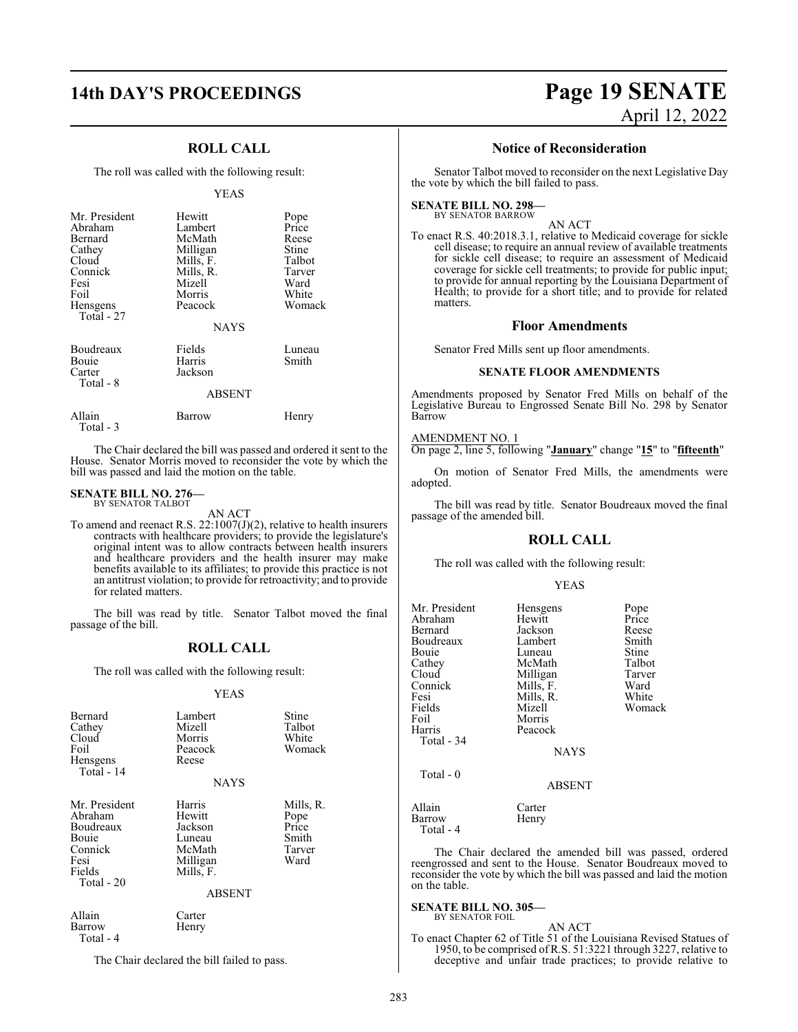### **ROLL CALL**

The roll was called with the following result:

#### YEAS

| Mr. President<br>Abraham<br>Bernard<br>Cathey<br>Cloud<br>Connick<br>Fesi<br>Foil<br>Hensgens | Hewitt<br>Lambert<br>McMath<br>Milligan<br>Mills, F.<br>Mills, R.<br>Mizell<br>Morris<br>Peacock | Pope<br>Price<br>Reese<br>Stine<br>Talbot<br>Tarver<br>Ward<br>White<br>Womack |
|-----------------------------------------------------------------------------------------------|--------------------------------------------------------------------------------------------------|--------------------------------------------------------------------------------|
| <b>Total - 27</b>                                                                             | <b>NAYS</b>                                                                                      |                                                                                |
| Boudreaux<br>Bouie<br>Carter<br>Total - 8                                                     | Fields<br>Harris<br>Jackson                                                                      | Luneau<br>Smith                                                                |
|                                                                                               | <b>ABSENT</b>                                                                                    |                                                                                |
| Allain                                                                                        | Barrow                                                                                           | Henry                                                                          |

Total - 3

The Chair declared the bill was passed and ordered it sent to the House. Senator Morris moved to reconsider the vote by which the bill was passed and laid the motion on the table.

#### **SENATE BILL NO. 276—**

BY SENATOR TALBOT AN ACT

To amend and reenact R.S. 22:1007(J)(2), relative to health insurers contracts with healthcare providers; to provide the legislature's original intent was to allow contracts between health insurers and healthcare providers and the health insurer may make benefits available to its affiliates; to provide this practice is not an antitrust violation; to provide for retroactivity; and to provide for related matters.

The bill was read by title. Senator Talbot moved the final passage of the bill.

#### **ROLL CALL**

The roll was called with the following result:

#### YEAS

| Bernard<br>Cathey<br>Cloud<br>Foil<br>Hensgens<br>Total - 14                              | Lambert<br>Mizell<br>Morris<br>Peacock<br>Reese<br><b>NAYS</b>                            | Stine<br>Talbot<br>White<br>Womack                    |
|-------------------------------------------------------------------------------------------|-------------------------------------------------------------------------------------------|-------------------------------------------------------|
| Mr. President<br>Abraham<br>Boudreaux<br>Bouie<br>Connick<br>Fesi<br>Fields<br>Total - 20 | Harris<br>Hewitt<br>Jackson<br>Luneau<br>McMath<br>Milligan<br>Mills, F.<br><b>ABSENT</b> | Mills, R.<br>Pope<br>Price<br>Smith<br>Tarver<br>Ward |
| Allain                                                                                    | Carter                                                                                    |                                                       |

Barrow Henry Total - 4

The Chair declared the bill failed to pass.

## **14th DAY'S PROCEEDINGS Page 19 SENATE** April 12, 2022

#### **Notice of Reconsideration**

Senator Talbot moved to reconsider on the next Legislative Day the vote by which the bill failed to pass.

#### **SENATE BILL NO. 298—** BY SENATOR BARROW

AN ACT

To enact R.S. 40:2018.3.1, relative to Medicaid coverage for sickle cell disease; to require an annual review of available treatments for sickle cell disease; to require an assessment of Medicaid coverage for sickle cell treatments; to provide for public input; to provide for annual reporting by the Louisiana Department of Health; to provide for a short title; and to provide for related matters.

#### **Floor Amendments**

Senator Fred Mills sent up floor amendments.

#### **SENATE FLOOR AMENDMENTS**

Amendments proposed by Senator Fred Mills on behalf of the Legislative Bureau to Engrossed Senate Bill No. 298 by Senator Barrow

#### AMENDMENT NO. 1

On page 2, line 5, following "**January**" change "**15**" to "**fifteenth**"

On motion of Senator Fred Mills, the amendments were adopted.

The bill was read by title. Senator Boudreaux moved the final passage of the amended bill.

#### **ROLL CALL**

The roll was called with the following result:

#### YEAS

| Mr. President<br>Abraham<br>Bernard<br>Boudreaux<br>Bouie<br>Cathey<br>Cloud<br>Connick<br>Fesi<br>Fields<br>Foil<br>Harris<br>Total - 34 | Hensgens<br>Hewitt<br>Jackson<br>Lambert<br>Luneau<br>McMath<br>Milligan<br>Mills, F.<br>Mills, R.<br>Mizell<br>Morris<br>Peacock<br><b>NAYS</b> | Pope<br>Price<br>Reese<br>Smith<br>Stine<br>Talbot<br>Tarver<br>Ward<br>White<br>Womack |
|-------------------------------------------------------------------------------------------------------------------------------------------|--------------------------------------------------------------------------------------------------------------------------------------------------|-----------------------------------------------------------------------------------------|
| Total - 0                                                                                                                                 | <b>ABSENT</b>                                                                                                                                    |                                                                                         |
| Allain<br>Barrow<br>Total - 4                                                                                                             | Carter<br>Henry                                                                                                                                  |                                                                                         |

The Chair declared the amended bill was passed, ordered reengrossed and sent to the House. Senator Boudreaux moved to reconsider the vote by which the bill was passed and laid the motion on the table.

#### **SENATE BILL NO. 305—** BY SENATOR FOIL

AN ACT

To enact Chapter 62 of Title 51 of the Louisiana Revised Statues of 1950, to be comprised ofR.S. 51:3221 through 3227, relative to deceptive and unfair trade practices; to provide relative to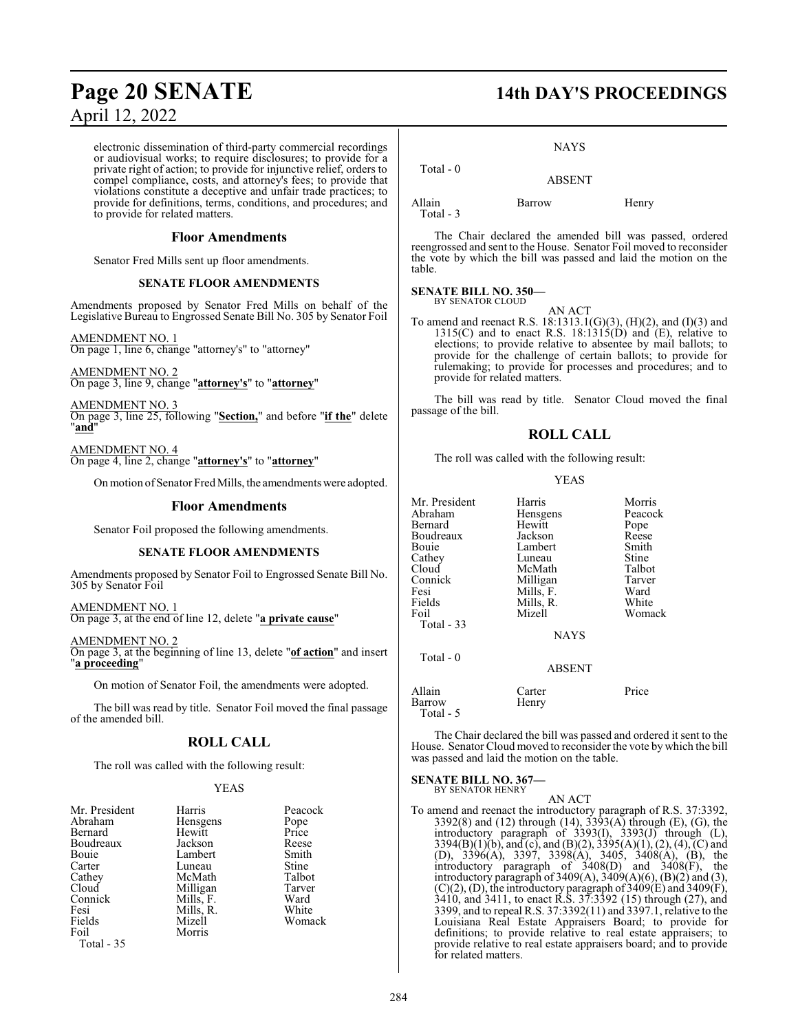electronic dissemination of third-party commercial recordings or audiovisual works; to require disclosures; to provide for a private right of action; to provide for injunctive relief, orders to compel compliance, costs, and attorney's fees; to provide that violations constitute a deceptive and unfair trade practices; to provide for definitions, terms, conditions, and procedures; and to provide for related matters.

#### **Floor Amendments**

Senator Fred Mills sent up floor amendments.

#### **SENATE FLOOR AMENDMENTS**

Amendments proposed by Senator Fred Mills on behalf of the Legislative Bureau to Engrossed Senate Bill No. 305 by Senator Foil

AMENDMENT NO. 1 On page 1, line 6, change "attorney's" to "attorney"

AMENDMENT NO. 2 On page 3, line 9, change "**attorney's**" to "**attorney**"

AMENDMENT NO. 3 On page 3, line 25, following "**Section,**" and before "**if the**" delete "**and**"

AMENDMENT NO. 4 On page 4, line 2, change "**attorney's**" to "**attorney**"

Onmotion ofSenator Fred Mills, the amendments were adopted.

#### **Floor Amendments**

Senator Foil proposed the following amendments.

#### **SENATE FLOOR AMENDMENTS**

Amendments proposed by Senator Foil to Engrossed Senate Bill No. 305 by Senator Foil

AMENDMENT NO. 1 On page 3, at the end of line 12, delete "**a private cause**"

AMENDMENT NO. 2 On page 3, at the beginning of line 13, delete "**of action**" and insert "**a proceeding**"

On motion of Senator Foil, the amendments were adopted.

The bill was read by title. Senator Foil moved the final passage of the amended bill.

#### **ROLL CALL**

The roll was called with the following result:

#### YEAS

| Mr. President | Harris    | Peacock |
|---------------|-----------|---------|
| Abraham       | Hensgens  | Pope    |
| Bernard       | Hewitt    | Price   |
| Boudreaux     | Jackson   | Reese   |
| Bouie         | Lambert   | Smith   |
| Carter        | Luneau    | Stine   |
| Cathey        | McMath    | Talbot  |
| Cloud         | Milligan  | Tarver  |
| Connick       | Mills, F. | Ward    |
| Fesi          | Mills, R. | White   |
| Fields        | Mizell    | Womack  |
| Foil          | Morris    |         |
| Total - 35    |           |         |

## **Page 20 SENATE 14th DAY'S PROCEEDINGS**

#### NAYS

 Total - 0 ABSENT

Allain Barrow Henry

Total - 3

The Chair declared the amended bill was passed, ordered reengrossed and sent to the House. Senator Foil moved to reconsider the vote by which the bill was passed and laid the motion on the table.

#### **SENATE BILL NO. 350—** BY SENATOR CLOUD

AN ACT To amend and reenact R.S. 18:1313.1(G)(3), (H)(2), and (I)(3) and  $1315(C)$  and to enact R.S.  $18:1315(D)$  and  $(E)$ , relative to elections; to provide relative to absentee by mail ballots; to provide for the challenge of certain ballots; to provide for rulemaking; to provide for processes and procedures; and to provide for related matters.

The bill was read by title. Senator Cloud moved the final passage of the bill.

#### **ROLL CALL**

The roll was called with the following result:

#### YEAS

| Mr. President | Harris        | Morris  |
|---------------|---------------|---------|
| Abraham       | Hensgens      | Peacock |
| Bernard       | Hewitt        | Pope    |
| Boudreaux     | Jackson       | Reese   |
| Bouie         | Lambert       | Smith   |
| Cathey        | Luneau        | Stine   |
| Cloud         | McMath        | Talbot  |
| Connick       | Milligan      | Tarver  |
| Fesi          | Mills, F.     | Ward    |
| Fields        | Mills, R.     | White   |
| Foil          | Mizell        | Womack  |
| Total $-33$   |               |         |
|               | <b>NAYS</b>   |         |
| Total $-0$    |               |         |
|               | <b>ABSENT</b> |         |
| Allain        | Carter        | Price   |
| Barrow        | Henry         |         |

The Chair declared the bill was passed and ordered it sent to the House. Senator Cloud moved to reconsider the vote by which the bill was passed and laid the motion on the table.

**SENATE BILL NO. 367—** BY SENATOR HENRY

Total - 5

AN ACT

To amend and reenact the introductory paragraph of R.S. 37:3392, 3392(8) and (12) through (14), 3393(A) through (E), (G), the introductory paragraph of 3393(I), 3393(J) through (L), 3394(B)(1)(b), and (c), and (B)(2), 3395(A)(1), (2), (4), (C) and (D), 3396(A), 3397, 3398(A), 3405, 3408(A), (B), the introductory paragraph of 3408(D) and 3408(F), the introductory paragraph of  $3409(A)$ ,  $3409(A)(6)$ ,  $(B)(2)$  and  $(3)$ ,  $(C)(2)$ ,  $(D)$ , the introductory paragraph of 3409 $(E)$  and 3409 $(F)$ , 3410, and 3411, to enact R.S. 37:3392 (15) through (27), and 3399, and to repeal R.S. 37:3392(11) and 3397.1, relative to the Louisiana Real Estate Appraisers Board; to provide for definitions; to provide relative to real estate appraisers; to provide relative to real estate appraisers board; and to provide for related matters.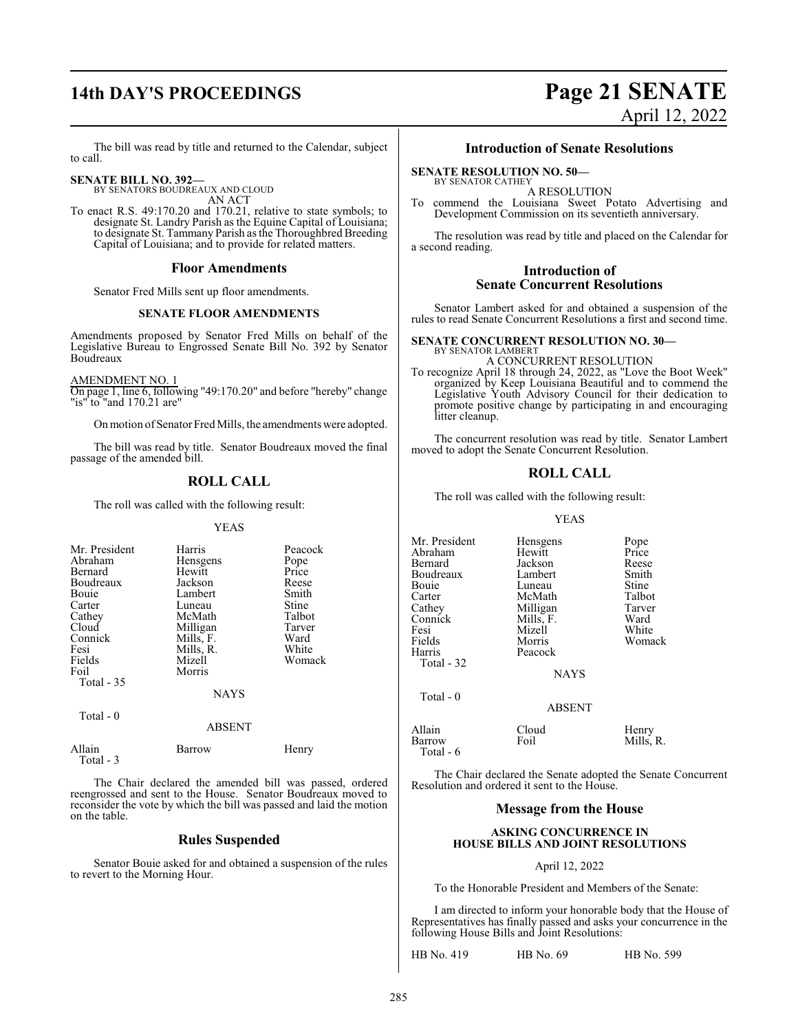## **14th DAY'S PROCEEDINGS Page 21 SENATE**

# April 12, 2022

The bill was read by title and returned to the Calendar, subject to call.

#### **SENATE BILL NO. 392—**

BY SENATORS BOUDREAUX AND CLOUD AN ACT

To enact R.S. 49:170.20 and 170.21, relative to state symbols; to designate St. Landry Parish as the Equine Capital of Louisiana; to designate St. Tammany Parish as the Thoroughbred Breeding Capital of Louisiana; and to provide for related matters.

#### **Floor Amendments**

Senator Fred Mills sent up floor amendments.

### **SENATE FLOOR AMENDMENTS**

Amendments proposed by Senator Fred Mills on behalf of the Legislative Bureau to Engrossed Senate Bill No. 392 by Senator Boudreaux

AMENDMENT NO. 1

Total - 3

On page 1, line 6, following "49:170.20" and before "hereby" change "is" to "and 170.21 are"

On motion of Senator Fred Mills, the amendments were adopted.

The bill was read by title. Senator Boudreaux moved the final passage of the amended bill.

### **ROLL CALL**

The roll was called with the following result:

#### YEAS

| Mr. President<br>Abraham<br>Bernard<br>Boudreaux<br>Bouie<br>Carter<br>Cathey<br>Cloud<br>Connick<br>Fesi<br>Fields<br>Foil<br>Total $-35$ | Harris<br>Hensgens<br>Hewitt<br>Jackson<br>Lambert<br>Luneau<br>McMath<br>Milligan<br>Mills, F.<br>Mills, R.<br>Mizell<br>Morris<br><b>NAYS</b> | Peacock<br>Pope<br>Price<br>Reese<br>Smith<br>Stine<br>Talbot<br>Tarver<br>Ward<br>White<br>Womack |
|--------------------------------------------------------------------------------------------------------------------------------------------|-------------------------------------------------------------------------------------------------------------------------------------------------|----------------------------------------------------------------------------------------------------|
| Total - 0                                                                                                                                  | <b>ABSENT</b>                                                                                                                                   |                                                                                                    |
| Allain                                                                                                                                     | Barrow                                                                                                                                          | Henry                                                                                              |

The Chair declared the amended bill was passed, ordered reengrossed and sent to the House. Senator Boudreaux moved to reconsider the vote by which the bill was passed and laid the motion on the table.

#### **Rules Suspended**

Senator Bouie asked for and obtained a suspension of the rules to revert to the Morning Hour.

#### **Introduction of Senate Resolutions**

#### **SENATE RESOLUTION NO. 50—** BY SENATOR CATHEY

A RESOLUTION

To commend the Louisiana Sweet Potato Advertising and Development Commission on its seventieth anniversary.

The resolution was read by title and placed on the Calendar for a second reading.

#### **Introduction of Senate Concurrent Resolutions**

Senator Lambert asked for and obtained a suspension of the rules to read Senate Concurrent Resolutions a first and second time.

#### **SENATE CONCURRENT RESOLUTION NO. 30—**

BY SENATOR LAMBERT A CONCURRENT RESOLUTION

To recognize April 18 through 24, 2022, as "Love the Boot Week" organized by Keep Louisiana Beautiful and to commend the Legislative Youth Advisory Council for their dedication to promote positive change by participating in and encouraging litter cleanup.

The concurrent resolution was read by title. Senator Lambert moved to adopt the Senate Concurrent Resolution.

### **ROLL CALL**

The roll was called with the following result:

YEAS

| Mr. President<br>Abraham<br>Bernard<br>Boudreaux<br>Bouie<br>Carter<br>Cathey<br>Connick<br>Fesi<br>Fields<br>Harris<br>Total - 32 | Hensgens<br>Hewitt<br>Jackson<br>Lambert<br>Luneau<br>McMath<br>Milligan<br>Mills, F.<br>Mizell<br>Morris<br>Peacock<br><b>NAYS</b> | Pope<br>Price<br>Reese<br>Smith<br>Stine<br>Talbot<br>Tarver<br>Ward<br>White<br>Woma |
|------------------------------------------------------------------------------------------------------------------------------------|-------------------------------------------------------------------------------------------------------------------------------------|---------------------------------------------------------------------------------------|
| Total - 0                                                                                                                          | <b>ABSENT</b>                                                                                                                       |                                                                                       |
| Allain                                                                                                                             | Cloud                                                                                                                               | Henry                                                                                 |

Hensgens Pope<br>Hewitt Price Jackson Reese<br>Lambert Smith Lambert Smith<br>
Luneau Stine Luneau Stine<br>McMath Talbot McMath Talbot<br>
Milligan Tarver Milligan Tarver<br>
Mills, F. Ward Mills, F. Ward<br>
Mizell White Womack

| Allain<br>Barrow<br>Total - 6 | Cloud<br>Foil | Henry<br>Mills, R. |
|-------------------------------|---------------|--------------------|
|-------------------------------|---------------|--------------------|

The Chair declared the Senate adopted the Senate Concurrent Resolution and ordered it sent to the House.

### **Message from the House**

#### **ASKING CONCURRENCE IN HOUSE BILLS AND JOINT RESOLUTIONS**

#### April 12, 2022

To the Honorable President and Members of the Senate:

I am directed to inform your honorable body that the House of Representatives has finally passed and asks your concurrence in the following House Bills and Joint Resolutions:

HB No. 419 HB No. 69 HB No. 599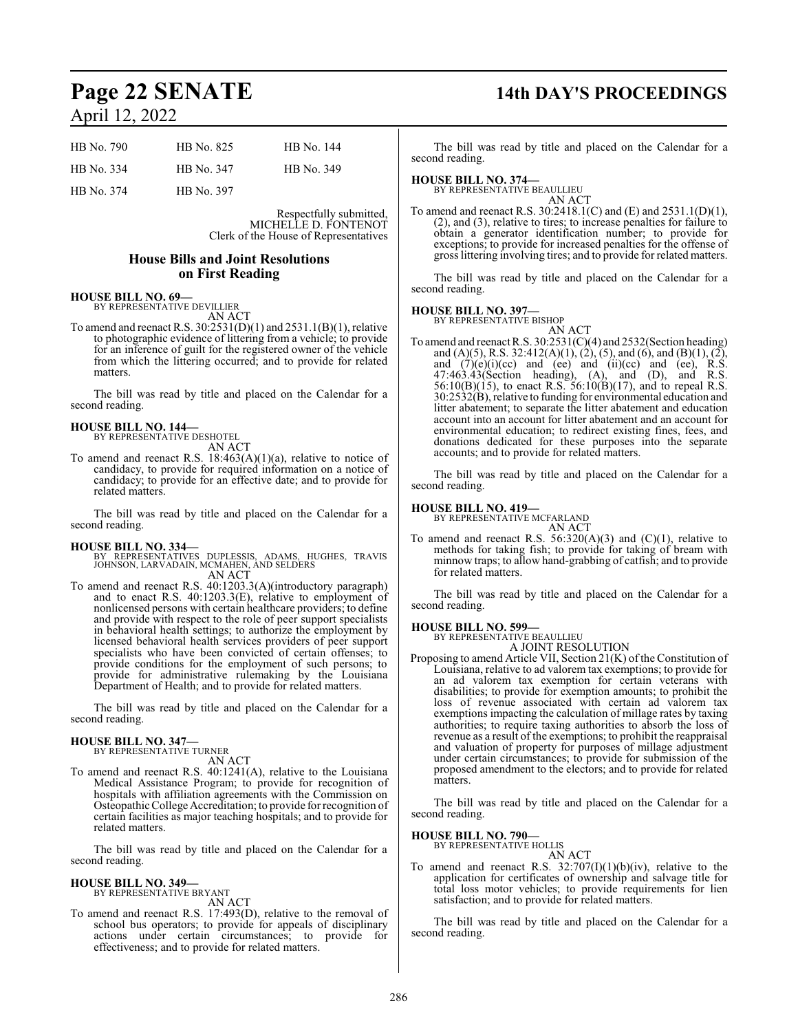| <b>HB</b> No. 790 | HB No. 825 | HB No. 144 |
|-------------------|------------|------------|
| HB No. 334        | HB No. 347 | HB No. 349 |
| HB No. 374        | HB No. 397 |            |

Respectfully submitted, MICHELLE D. FONTENOT Clerk of the House of Representatives

#### **House Bills and Joint Resolutions on First Reading**

## **HOUSE BILL NO. 69—** BY REPRESENTATIVE DEVILLIER

AN ACT

To amend and reenact R.S. 30:2531(D)(1) and 2531.1(B)(1), relative to photographic evidence of littering from a vehicle; to provide for an inference of guilt for the registered owner of the vehicle from which the littering occurred; and to provide for related matters.

The bill was read by title and placed on the Calendar for a second reading.

#### **HOUSE BILL NO. 144—** BY REPRESENTATIVE DESHOTEL

AN ACT

To amend and reenact R.S. 18:463(A)(1)(a), relative to notice of candidacy, to provide for required information on a notice of candidacy; to provide for an effective date; and to provide for related matters.

The bill was read by title and placed on the Calendar for a second reading.

#### **HOUSE BILL NO. 334—**

BY REPRESENTATIVES DUPLESSIS, ADAMS, HUGHES, TRAVIS JOHNSON, LARVADAIN, MCMAHEN, AND SELDERS AN ACT

To amend and reenact R.S. 40:1203.3(A)(introductory paragraph) and to enact R.S. 40:1203.3(E), relative to employment of nonlicensed persons with certain healthcare providers; to define and provide with respect to the role of peer support specialists in behavioral health settings; to authorize the employment by licensed behavioral health services providers of peer support specialists who have been convicted of certain offenses; to provide conditions for the employment of such persons; to provide for administrative rulemaking by the Louisiana Department of Health; and to provide for related matters.

The bill was read by title and placed on the Calendar for a second reading.

#### **HOUSE BILL NO. 347—** BY REPRESENTATIVE TURNER

AN ACT

To amend and reenact R.S. 40:1241(A), relative to the Louisiana Medical Assistance Program; to provide for recognition of hospitals with affiliation agreements with the Commission on Osteopathic College Accreditation; to provide for recognition of certain facilities as major teaching hospitals; and to provide for related matters.

The bill was read by title and placed on the Calendar for a second reading.

#### **HOUSE BILL NO. 349—**

BY REPRESENTATIVE BRYANT AN ACT

To amend and reenact R.S. 17:493(D), relative to the removal of school bus operators; to provide for appeals of disciplinary actions under certain circumstances; to provide for effectiveness; and to provide for related matters.

## **Page 22 SENATE 14th DAY'S PROCEEDINGS**

The bill was read by title and placed on the Calendar for a second reading.

### **HOUSE BILL NO. 374—**

BY REPRESENTATIVE BEAULLIEU AN ACT

To amend and reenact R.S. 30:2418.1(C) and (E) and 2531.1(D)(1), (2), and (3), relative to tires; to increase penalties for failure to obtain a generator identification number; to provide for exceptions; to provide for increased penalties for the offense of gross littering involving tires; and to provide for related matters.

The bill was read by title and placed on the Calendar for a second reading.

## **HOUSE BILL NO. 397—** BY REPRESENTATIVE BISHOP

AN ACT

To amend and reenact R.S. 30:2531(C)(4) and 2532(Section heading) and (A)(5), R.S. 32:412(A)(1), (2), (5), and (6), and (B)(1), (2), and  $(7)(e)(i)(ce)$  and  $(ee)$  and  $(ii)(ce)$  and  $(ee)$ , R.S. 47:463.43(Section heading), (A), and (D), and R.S. 56:10(B)(15), to enact R.S. 56:10(B)(17), and to repeal R.S. 30:2532(B), relative to funding for environmental education and litter abatement; to separate the litter abatement and education account into an account for litter abatement and an account for environmental education; to redirect existing fines, fees, and donations dedicated for these purposes into the separate accounts; and to provide for related matters.

The bill was read by title and placed on the Calendar for a second reading.

#### **HOUSE BILL NO. 419—**

BY REPRESENTATIVE MCFARLAND AN ACT

To amend and reenact R.S.  $56:320(A)(3)$  and  $(C)(1)$ , relative to methods for taking fish; to provide for taking of bream with minnow traps; to allow hand-grabbing of catfish; and to provide for related matters.

The bill was read by title and placed on the Calendar for a second reading.

## **HOUSE BILL NO. 599—** BY REPRESENTATIVE BEAULLIEU

A JOINT RESOLUTION Proposing to amend Article VII, Section 21(K) of the Constitution of Louisiana, relative to ad valorem tax exemptions; to provide for an ad valorem tax exemption for certain veterans with disabilities; to provide for exemption amounts; to prohibit the loss of revenue associated with certain ad valorem tax exemptions impacting the calculation of millage rates by taxing authorities; to require taxing authorities to absorb the loss of revenue as a result of the exemptions; to prohibit the reappraisal and valuation of property for purposes of millage adjustment under certain circumstances; to provide for submission of the proposed amendment to the electors; and to provide for related matters.

The bill was read by title and placed on the Calendar for a second reading.

#### **HOUSE BILL NO. 790—**

BY REPRESENTATIVE HOLLIS AN ACT

To amend and reenact R.S.  $32:707(I)(1)(b)(iv)$ , relative to the application for certificates of ownership and salvage title for total loss motor vehicles; to provide requirements for lien satisfaction; and to provide for related matters.

The bill was read by title and placed on the Calendar for a second reading.